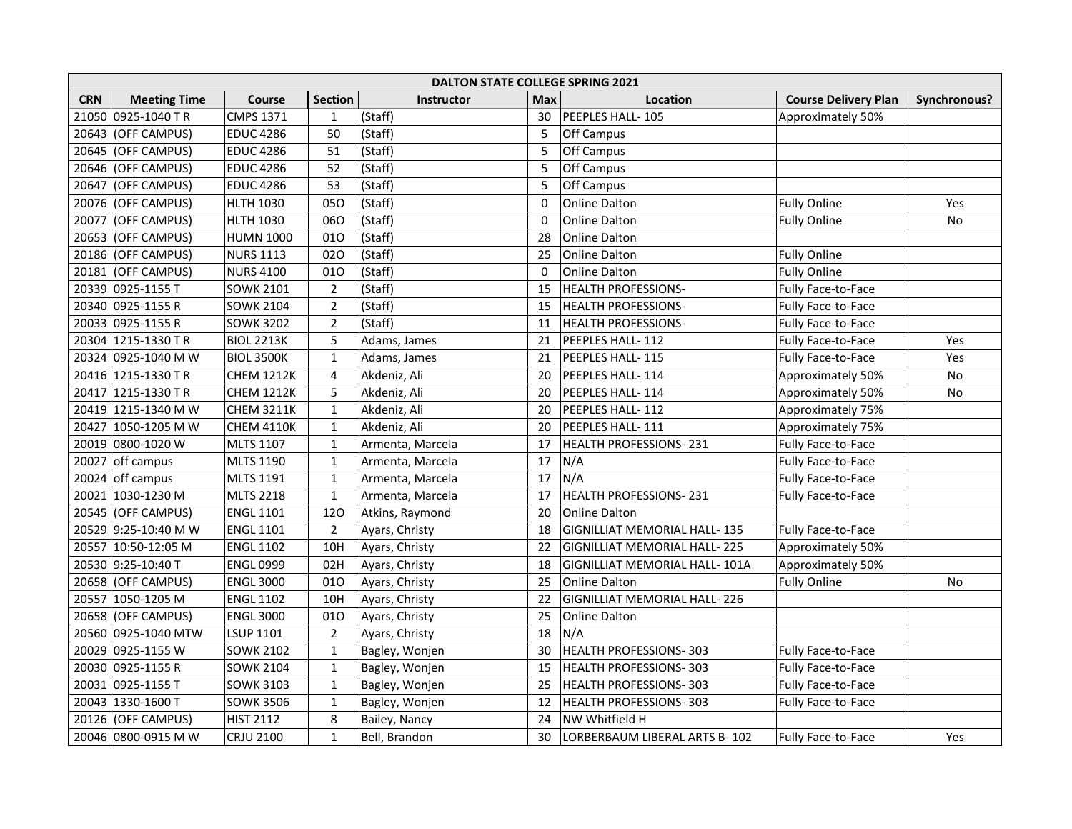|            | <b>DALTON STATE COLLEGE SPRING 2021</b> |                   |                |                  |            |                                     |                             |              |  |  |  |
|------------|-----------------------------------------|-------------------|----------------|------------------|------------|-------------------------------------|-----------------------------|--------------|--|--|--|
| <b>CRN</b> | <b>Meeting Time</b>                     | Course            | <b>Section</b> | Instructor       | <b>Max</b> | Location                            | <b>Course Delivery Plan</b> | Synchronous? |  |  |  |
| 21050      | 0925-1040 TR                            | <b>CMPS 1371</b>  | $\mathbf{1}$   | (Staff)          | 30         | PEEPLES HALL-105                    | Approximately 50%           |              |  |  |  |
| 20643      | (OFF CAMPUS)                            | <b>EDUC 4286</b>  | 50             | (Staff)          | 5          | Off Campus                          |                             |              |  |  |  |
| 20645      | (OFF CAMPUS)                            | <b>EDUC 4286</b>  | 51             | (Staff)          | 5          | Off Campus                          |                             |              |  |  |  |
| 20646      | (OFF CAMPUS)                            | <b>EDUC 4286</b>  | 52             | (Staff)          | 5          | Off Campus                          |                             |              |  |  |  |
|            | 20647 (OFF CAMPUS)                      | <b>EDUC 4286</b>  | 53             | (Staff)          | 5          | Off Campus                          |                             |              |  |  |  |
|            | 20076 (OFF CAMPUS)                      | <b>HLTH 1030</b>  | 050            | (Staff)          | 0          | <b>Online Dalton</b>                | <b>Fully Online</b>         | Yes          |  |  |  |
|            | 20077 (OFF CAMPUS)                      | <b>HLTH 1030</b>  | 060            | (Staff)          | 0          | <b>Online Dalton</b>                | <b>Fully Online</b>         | No           |  |  |  |
|            | 20653 (OFF CAMPUS)                      | <b>HUMN 1000</b>  | 010            | (Staff)          | 28         | <b>Online Dalton</b>                |                             |              |  |  |  |
|            | 20186 (OFF CAMPUS)                      | NURS 1113         | 020            | (Staff)          | 25         | Online Dalton                       | <b>Fully Online</b>         |              |  |  |  |
|            | 20181 (OFF CAMPUS)                      | <b>NURS 4100</b>  | 010            | (Staff)          | $\Omega$   | <b>Online Dalton</b>                | <b>Fully Online</b>         |              |  |  |  |
|            | 20339 0925-1155 T                       | <b>SOWK 2101</b>  | $\overline{2}$ | (Staff)          | 15         | HEALTH PROFESSIONS-                 | Fully Face-to-Face          |              |  |  |  |
|            | 20340 0925-1155 R                       | <b>SOWK 2104</b>  | $\overline{2}$ | (Staff)          | 15         | HEALTH PROFESSIONS-                 | Fully Face-to-Face          |              |  |  |  |
|            | 20033 0925-1155 R                       | <b>SOWK 3202</b>  | $\overline{2}$ | (Staff)          | 11         | HEALTH PROFESSIONS-                 | Fully Face-to-Face          |              |  |  |  |
|            | 20304 1215-1330 TR                      | <b>BIOL 2213K</b> | 5              | Adams, James     | 21         | PEEPLES HALL-112                    | Fully Face-to-Face          | Yes          |  |  |  |
|            | 20324 0925-1040 M W                     | <b>BIOL 3500K</b> | $\mathbf{1}$   | Adams, James     | 21         | PEEPLES HALL-115                    | Fully Face-to-Face          | Yes          |  |  |  |
|            | 20416 1215-1330 TR                      | <b>CHEM 1212K</b> | 4              | Akdeniz, Ali     | 20         | PEEPLES HALL-114                    | Approximately 50%           | No           |  |  |  |
|            | 20417 1215-1330 TR                      | <b>CHEM 1212K</b> | 5              | Akdeniz, Ali     | 20         | PEEPLES HALL-114                    | Approximately 50%           | No           |  |  |  |
|            | 20419 1215-1340 M W                     | <b>CHEM 3211K</b> | $\mathbf{1}$   | Akdeniz, Ali     | 20         | PEEPLES HALL-112                    | Approximately 75%           |              |  |  |  |
|            | 20427 1050-1205 M W                     | <b>CHEM 4110K</b> | $\mathbf 1$    | Akdeniz, Ali     | 20         | PEEPLES HALL-111                    | Approximately 75%           |              |  |  |  |
|            | 20019 0800-1020 W                       | <b>MLTS 1107</b>  | $\mathbf{1}$   | Armenta, Marcela | 17         | HEALTH PROFESSIONS-231              | Fully Face-to-Face          |              |  |  |  |
|            | 20027 off campus                        | <b>MLTS 1190</b>  | $\mathbf 1$    | Armenta, Marcela | 17         | N/A                                 | Fully Face-to-Face          |              |  |  |  |
|            | 20024 off campus                        | <b>MLTS 1191</b>  | $\mathbf{1}$   | Armenta, Marcela | 17         | N/A                                 | Fully Face-to-Face          |              |  |  |  |
|            | 20021 1030-1230 M                       | <b>MLTS 2218</b>  | $\mathbf{1}$   | Armenta, Marcela | 17         | HEALTH PROFESSIONS-231              | Fully Face-to-Face          |              |  |  |  |
|            | 20545 (OFF CAMPUS)                      | <b>ENGL 1101</b>  | 120            | Atkins, Raymond  | 20         | <b>Online Dalton</b>                |                             |              |  |  |  |
|            | 20529 9:25-10:40 M W                    | <b>ENGL 1101</b>  | $\overline{2}$ | Ayars, Christy   | 18         | <b>GIGNILLIAT MEMORIAL HALL-135</b> | Fully Face-to-Face          |              |  |  |  |
|            | 20557 10:50-12:05 M                     | <b>ENGL 1102</b>  | 10H            | Ayars, Christy   | 22         | GIGNILLIAT MEMORIAL HALL-225        | Approximately 50%           |              |  |  |  |
|            | 20530 9:25-10:40 T                      | <b>ENGL 0999</b>  | 02H            | Ayars, Christy   | 18         | GIGNILLIAT MEMORIAL HALL- 101A      | Approximately 50%           |              |  |  |  |
|            | 20658 (OFF CAMPUS)                      | <b>ENGL 3000</b>  | 010            | Ayars, Christy   | 25         | Online Dalton                       | <b>Fully Online</b>         | No           |  |  |  |
|            | 20557 1050-1205 M                       | <b>ENGL 1102</b>  | 10H            | Ayars, Christy   | 22         | <b>GIGNILLIAT MEMORIAL HALL-226</b> |                             |              |  |  |  |
|            | 20658 (OFF CAMPUS)                      | <b>ENGL 3000</b>  | 010            | Ayars, Christy   | 25         | Online Dalton                       |                             |              |  |  |  |
|            | 20560 0925-1040 MTW                     | <b>LSUP 1101</b>  | $\overline{2}$ | Ayars, Christy   | 18         | N/A                                 |                             |              |  |  |  |
|            | 20029 0925-1155 W                       | <b>SOWK 2102</b>  | $\mathbf{1}$   | Bagley, Wonjen   | 30         | <b>HEALTH PROFESSIONS-303</b>       | Fully Face-to-Face          |              |  |  |  |
|            | 20030 0925-1155 R                       | <b>SOWK 2104</b>  | $\mathbf{1}$   | Bagley, Wonjen   | 15         | <b>HEALTH PROFESSIONS-303</b>       | Fully Face-to-Face          |              |  |  |  |
|            | 20031 0925-1155 T                       | SOWK 3103         | $\mathbf{1}$   | Bagley, Wonjen   | 25         | <b>HEALTH PROFESSIONS-303</b>       | Fully Face-to-Face          |              |  |  |  |
|            | 20043 1330-1600 T                       | <b>SOWK 3506</b>  | $\mathbf{1}$   | Bagley, Wonjen   | 12         | HEALTH PROFESSIONS-303              | Fully Face-to-Face          |              |  |  |  |
|            | 20126 (OFF CAMPUS)                      | <b>HIST 2112</b>  | 8              | Bailey, Nancy    | 24         | NW Whitfield H                      |                             |              |  |  |  |
|            | 20046 0800-0915 M W                     | <b>CRJU 2100</b>  | $\mathbf 1$    | Bell, Brandon    | 30         | LORBERBAUM LIBERAL ARTS B-102       | <b>Fully Face-to-Face</b>   | Yes          |  |  |  |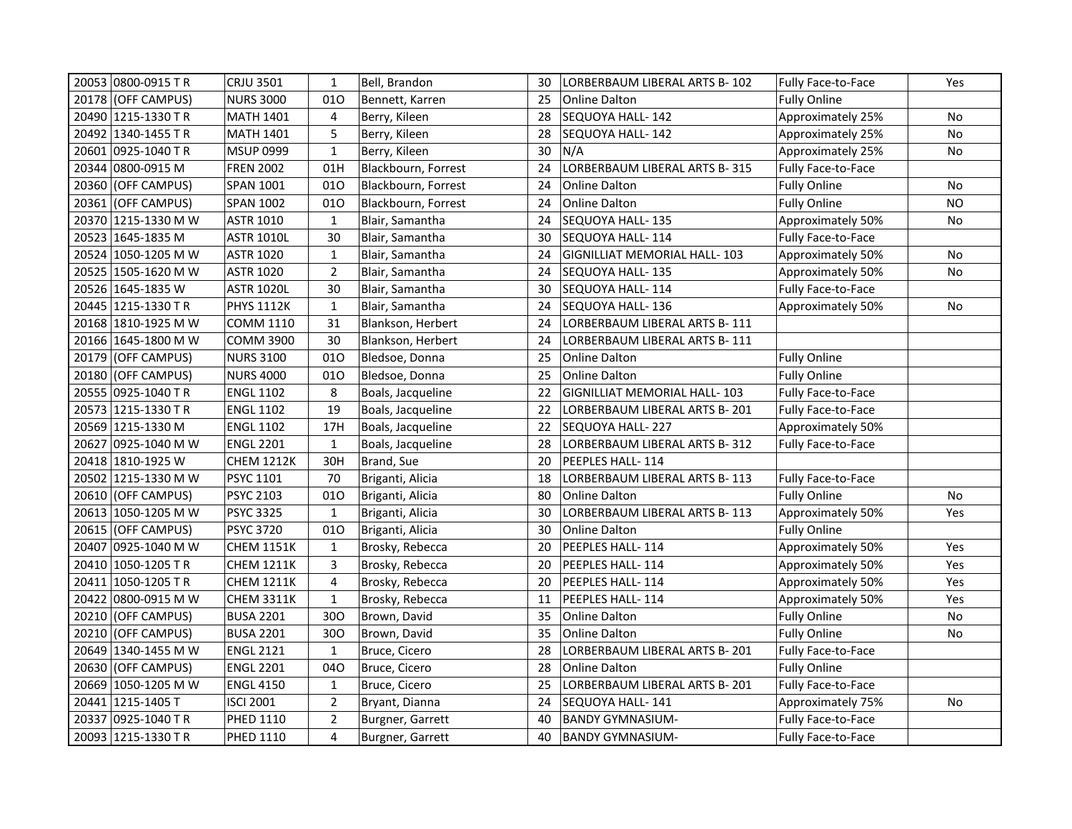| 20053 0800-0915 TR   |                     | <b>CRJU 3501</b>  | $\mathbf{1}$   | Bell, Brandon       | 30 | LORBERBAUM LIBERAL ARTS B- 102      | Fully Face-to-Face        | Yes       |
|----------------------|---------------------|-------------------|----------------|---------------------|----|-------------------------------------|---------------------------|-----------|
| 20178 (OFF CAMPUS)   |                     | <b>NURS 3000</b>  | 010            | Bennett, Karren     | 25 | Online Dalton                       | <b>Fully Online</b>       |           |
| 20490 1215-1330 TR   |                     | <b>MATH 1401</b>  | 4              | Berry, Kileen       | 28 | SEQUOYA HALL-142                    | Approximately 25%         | No        |
| 20492   1340-1455 TR |                     | <b>MATH 1401</b>  | 5              | Berry, Kileen       | 28 | SEQUOYA HALL-142                    | Approximately 25%         | No        |
| 20601 0925-1040 TR   |                     | <b>MSUP 0999</b>  | $\mathbf{1}$   | Berry, Kileen       | 30 | N/A                                 | Approximately 25%         | No        |
| 20344 0800-0915 M    |                     | <b>FREN 2002</b>  | 01H            | Blackbourn, Forrest | 24 | LORBERBAUM LIBERAL ARTS B-315       | Fully Face-to-Face        |           |
| 20360 (OFF CAMPUS)   |                     | SPAN 1001         | 010            | Blackbourn, Forrest | 24 | <b>Online Dalton</b>                | <b>Fully Online</b>       | No        |
| 20361 (OFF CAMPUS)   |                     | <b>SPAN 1002</b>  | 010            | Blackbourn, Forrest | 24 | <b>Online Dalton</b>                | <b>Fully Online</b>       | <b>NO</b> |
|                      | 20370 1215-1330 M W | ASTR 1010         | $\mathbf{1}$   | Blair, Samantha     | 24 | <b>SEQUOYA HALL-135</b>             | Approximately 50%         | No        |
| 20523 1645-1835 M    |                     | <b>ASTR 1010L</b> | 30             | Blair, Samantha     | 30 | SEQUOYA HALL-114                    | Fully Face-to-Face        |           |
|                      | 20524 1050-1205 M W | <b>ASTR 1020</b>  | $\mathbf{1}$   | Blair, Samantha     | 24 | <b>GIGNILLIAT MEMORIAL HALL-103</b> | Approximately 50%         | No        |
|                      | 20525 1505-1620 M W | <b>ASTR 1020</b>  | $\overline{2}$ | Blair, Samantha     | 24 | SEQUOYA HALL-135                    | Approximately 50%         | No        |
| 20526   1645-1835 W  |                     | <b>ASTR 1020L</b> | 30             | Blair, Samantha     | 30 | SEQUOYA HALL-114                    | Fully Face-to-Face        |           |
| 20445 1215-1330 TR   |                     | <b>PHYS 1112K</b> | $\mathbf{1}$   | Blair, Samantha     | 24 | SEQUOYA HALL- 136                   | Approximately 50%         | No        |
| 20168 1810-1925 M W  |                     | <b>COMM 1110</b>  | 31             | Blankson, Herbert   | 24 | LORBERBAUM LIBERAL ARTS B-111       |                           |           |
|                      | 20166 1645-1800 M W | <b>COMM 3900</b>  | 30             | Blankson, Herbert   | 24 | LORBERBAUM LIBERAL ARTS B- 111      |                           |           |
| 20179 (OFF CAMPUS)   |                     | <b>NURS 3100</b>  | 010            | Bledsoe, Donna      | 25 | <b>Online Dalton</b>                | <b>Fully Online</b>       |           |
| 20180 (OFF CAMPUS)   |                     | <b>NURS 4000</b>  | 010            | Bledsoe, Donna      | 25 | <b>Online Dalton</b>                | <b>Fully Online</b>       |           |
| 20555 0925-1040 TR   |                     | <b>ENGL 1102</b>  | 8              | Boals, Jacqueline   | 22 | <b>GIGNILLIAT MEMORIAL HALL-103</b> | <b>Fully Face-to-Face</b> |           |
| 20573 1215-1330 TR   |                     | <b>ENGL 1102</b>  | 19             | Boals, Jacqueline   | 22 | LORBERBAUM LIBERAL ARTS B-201       | Fully Face-to-Face        |           |
| 20569 1215-1330 M    |                     | <b>ENGL 1102</b>  | 17H            | Boals, Jacqueline   | 22 | SEQUOYA HALL-227                    | Approximately 50%         |           |
|                      | 20627 0925-1040 M W | <b>ENGL 2201</b>  | $\mathbf{1}$   | Boals, Jacqueline   | 28 | LORBERBAUM LIBERAL ARTS B-312       | Fully Face-to-Face        |           |
| 20418 1810-1925 W    |                     | <b>CHEM 1212K</b> | 30H            | Brand, Sue          | 20 | PEEPLES HALL-114                    |                           |           |
|                      | 20502 1215-1330 M W | PSYC 1101         | 70             | Briganti, Alicia    | 18 | LORBERBAUM LIBERAL ARTS B-113       | Fully Face-to-Face        |           |
| 20610 (OFF CAMPUS)   |                     | <b>PSYC 2103</b>  | 010            | Briganti, Alicia    | 80 | <b>Online Dalton</b>                | <b>Fully Online</b>       | No        |
|                      | 20613 1050-1205 M W | <b>PSYC 3325</b>  | $\mathbf{1}$   | Briganti, Alicia    | 30 | LORBERBAUM LIBERAL ARTS B-113       | Approximately 50%         | Yes       |
| 20615 (OFF CAMPUS)   |                     | <b>PSYC 3720</b>  | 010            | Briganti, Alicia    | 30 | <b>Online Dalton</b>                | <b>Fully Online</b>       |           |
| 20407 0925-1040 M W  |                     | <b>CHEM 1151K</b> | $\mathbf{1}$   | Brosky, Rebecca     | 20 | PEEPLES HALL- 114                   | Approximately 50%         | Yes       |
| 20410 1050-1205 TR   |                     | <b>CHEM 1211K</b> | 3              | Brosky, Rebecca     | 20 | PEEPLES HALL-114                    | Approximately 50%         | Yes       |
| 20411 1050-1205 TR   |                     | <b>CHEM 1211K</b> | $\overline{4}$ | Brosky, Rebecca     | 20 | PEEPLES HALL-114                    | Approximately 50%         | Yes       |
|                      | 20422 0800-0915 M W | CHEM 3311K        | $\mathbf{1}$   | Brosky, Rebecca     | 11 | PEEPLES HALL-114                    | Approximately 50%         | Yes       |
| 20210 (OFF CAMPUS)   |                     | <b>BUSA 2201</b>  | 300            | Brown, David        | 35 | <b>Online Dalton</b>                | <b>Fully Online</b>       | No        |
| 20210 (OFF CAMPUS)   |                     | <b>BUSA 2201</b>  | 300            | Brown, David        | 35 | <b>Online Dalton</b>                | <b>Fully Online</b>       | No        |
|                      | 20649 1340-1455 M W | <b>ENGL 2121</b>  | $\mathbf{1}$   | Bruce, Cicero       | 28 | LORBERBAUM LIBERAL ARTS B-201       | Fully Face-to-Face        |           |
| 20630 (OFF CAMPUS)   |                     | <b>ENGL 2201</b>  | 040            | Bruce, Cicero       | 28 | <b>Online Dalton</b>                | <b>Fully Online</b>       |           |
|                      | 20669 1050-1205 M W | <b>ENGL 4150</b>  | $\mathbf{1}$   | Bruce, Cicero       | 25 | LORBERBAUM LIBERAL ARTS B-201       | Fully Face-to-Face        |           |
| 20441 1215-1405 T    |                     | <b>ISCI 2001</b>  | $\overline{2}$ | Bryant, Dianna      | 24 | SEQUOYA HALL-141                    | Approximately 75%         | <b>No</b> |
| 20337 0925-1040 TR   |                     | PHED 1110         | $\overline{2}$ | Burgner, Garrett    | 40 | <b>BANDY GYMNASIUM-</b>             | Fully Face-to-Face        |           |
| 20093 1215-1330 TR   |                     | PHED 1110         | 4              | Burgner, Garrett    | 40 | <b>BANDY GYMNASIUM-</b>             | Fully Face-to-Face        |           |
|                      |                     |                   |                |                     |    |                                     |                           |           |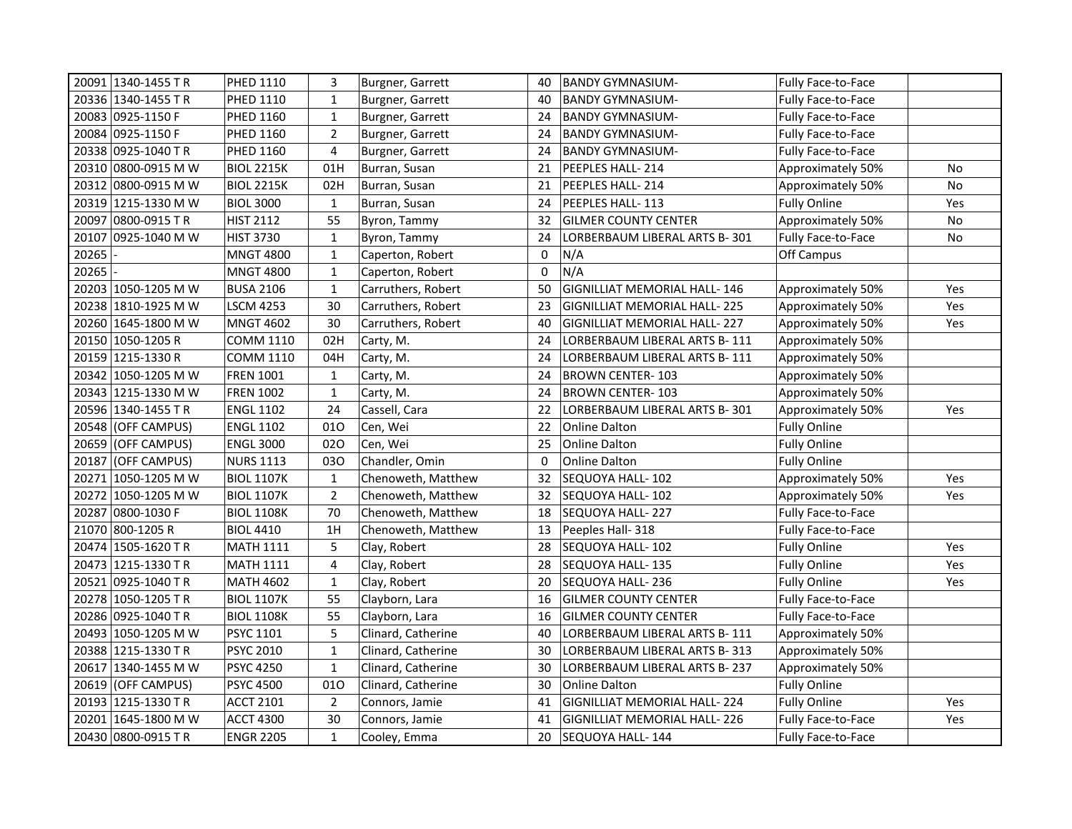| 20091 1340-1455 TR     | PHED 1110         | 3              | Burgner, Garrett   | 40           | <b>BANDY GYMNASIUM-</b>             | Fully Face-to-Face        |     |
|------------------------|-------------------|----------------|--------------------|--------------|-------------------------------------|---------------------------|-----|
| 20336 1340-1455 TR     | PHED 1110         | $\mathbf{1}$   | Burgner, Garrett   | 40           | <b>BANDY GYMNASIUM-</b>             | Fully Face-to-Face        |     |
| 20083 0925-1150 F      | PHED 1160         | $\mathbf{1}$   | Burgner, Garrett   | 24           | <b>BANDY GYMNASIUM-</b>             | Fully Face-to-Face        |     |
| 20084 0925-1150 F      | PHED 1160         | $\overline{2}$ | Burgner, Garrett   | 24           | <b>BANDY GYMNASIUM-</b>             | Fully Face-to-Face        |     |
| 20338  0925-1040 T R   | PHED 1160         | 4              | Burgner, Garrett   | 24           | <b>BANDY GYMNASIUM-</b>             | <b>Fully Face-to-Face</b> |     |
| 20310 0800-0915 M W    | <b>BIOL 2215K</b> | 01H            | Burran, Susan      | 21           | PEEPLES HALL-214                    | Approximately 50%         | No  |
| 20312 0800-0915 M W    | <b>BIOL 2215K</b> | 02H            | Burran, Susan      | 21           | PEEPLES HALL-214                    | Approximately 50%         | No  |
| 20319 1215-1330 M W    | <b>BIOL 3000</b>  | $\mathbf{1}$   | Burran, Susan      | 24           | PEEPLES HALL-113                    | <b>Fully Online</b>       | Yes |
| 20097 0800-0915 TR     | <b>HIST 2112</b>  | 55             | Byron, Tammy       | 32           | <b>GILMER COUNTY CENTER</b>         | Approximately 50%         | No  |
| 20107<br>0925-1040 M W | HIST 3730         | $\mathbf{1}$   | Byron, Tammy       | 24           | LORBERBAUM LIBERAL ARTS B-301       | Fully Face-to-Face        | No  |
| 20265                  | <b>MNGT 4800</b>  | $\mathbf{1}$   | Caperton, Robert   | 0            | N/A                                 | Off Campus                |     |
| 20265                  | <b>MNGT 4800</b>  | $\mathbf{1}$   | Caperton, Robert   | 0            | N/A                                 |                           |     |
| 20203 1050-1205 M W    | <b>BUSA 2106</b>  | $\mathbf{1}$   | Carruthers, Robert | 50           | <b>GIGNILLIAT MEMORIAL HALL-146</b> | Approximately 50%         | Yes |
| 20238 1810-1925 M W    | <b>LSCM 4253</b>  | 30             | Carruthers, Robert | 23           | <b>GIGNILLIAT MEMORIAL HALL-225</b> | Approximately 50%         | Yes |
| 20260 1645-1800 M W    | <b>MNGT 4602</b>  | 30             | Carruthers, Robert | 40           | <b>GIGNILLIAT MEMORIAL HALL-227</b> | Approximately 50%         | Yes |
| 20150 1050-1205 R      | COMM 1110         | 02H            | Carty, M.          | 24           | LORBERBAUM LIBERAL ARTS B-111       | Approximately 50%         |     |
| 20159 1215-1330 R      | COMM 1110         | 04H            | Carty, M.          | 24           | LORBERBAUM LIBERAL ARTS B- 111      | Approximately 50%         |     |
| 20342 1050-1205 M W    | <b>FREN 1001</b>  | $\mathbf{1}$   | Carty, M.          | 24           | <b>BROWN CENTER-103</b>             | Approximately 50%         |     |
| 20343 1215-1330 M W    | <b>FREN 1002</b>  | $\mathbf{1}$   | Carty, M.          | 24           | <b>BROWN CENTER-103</b>             | Approximately 50%         |     |
| 20596 1340-1455 TR     | <b>ENGL 1102</b>  | 24             | Cassell, Cara      | 22           | LORBERBAUM LIBERAL ARTS B-301       | Approximately 50%         | Yes |
| 20548 (OFF CAMPUS)     | <b>ENGL 1102</b>  | 010            | Cen, Wei           | 22           | <b>Online Dalton</b>                | <b>Fully Online</b>       |     |
| 20659 (OFF CAMPUS)     | <b>ENGL 3000</b>  | 020            | Cen, Wei           | 25           | <b>Online Dalton</b>                | <b>Fully Online</b>       |     |
| 20187 (OFF CAMPUS)     | <b>NURS 1113</b>  | 030            | Chandler, Omin     | $\mathbf{0}$ | Online Dalton                       | <b>Fully Online</b>       |     |
| 20271 1050-1205 M W    | <b>BIOL 1107K</b> | $\mathbf{1}$   | Chenoweth, Matthew | 32           | SEQUOYA HALL-102                    | Approximately 50%         | Yes |
| 20272 1050-1205 M W    | <b>BIOL 1107K</b> | $\overline{2}$ | Chenoweth, Matthew | 32           | SEQUOYA HALL-102                    | Approximately 50%         | Yes |
| 20287 0800-1030 F      | <b>BIOL 1108K</b> | 70             | Chenoweth, Matthew | 18           | SEQUOYA HALL-227                    | <b>Fully Face-to-Face</b> |     |
| 21070 800-1205 R       | <b>BIOL 4410</b>  | 1H             | Chenoweth, Matthew | 13           | Peeples Hall-318                    | Fully Face-to-Face        |     |
| 20474 1505-1620 TR     | <b>MATH 1111</b>  | 5              | Clay, Robert       | 28           | SEQUOYA HALL-102                    | <b>Fully Online</b>       | Yes |
| 20473 1215-1330 TR     | <b>MATH 1111</b>  | 4              | Clay, Robert       | 28           | SEQUOYA HALL-135                    | <b>Fully Online</b>       | Yes |
| 20521 0925-1040 TR     | <b>MATH 4602</b>  | $\mathbf{1}$   | Clay, Robert       | 20           | SEQUOYA HALL-236                    | <b>Fully Online</b>       | Yes |
| 20278 1050-1205 TR     | <b>BIOL 1107K</b> | 55             | Clayborn, Lara     | 16           | <b>GILMER COUNTY CENTER</b>         | Fully Face-to-Face        |     |
| 20286 0925-1040 TR     | <b>BIOL 1108K</b> | 55             | Clayborn, Lara     | 16           | <b>GILMER COUNTY CENTER</b>         | Fully Face-to-Face        |     |
| 20493 1050-1205 M W    | PSYC 1101         | 5              | Clinard, Catherine | 40           | LORBERBAUM LIBERAL ARTS B-111       | Approximately 50%         |     |
| 20388 1215-1330 TR     | <b>PSYC 2010</b>  | $\mathbf{1}$   | Clinard, Catherine | 30           | LORBERBAUM LIBERAL ARTS B- 313      | Approximately 50%         |     |
| 20617 1340-1455 M W    | <b>PSYC 4250</b>  | $\mathbf{1}$   | Clinard, Catherine | 30           | LORBERBAUM LIBERAL ARTS B-237       | Approximately 50%         |     |
| 20619 (OFF CAMPUS)     | <b>PSYC 4500</b>  | 010            | Clinard, Catherine | 30           | Online Dalton                       | <b>Fully Online</b>       |     |
| 20193 1215-1330 TR     | <b>ACCT 2101</b>  | $\overline{2}$ | Connors, Jamie     | 41           | <b>GIGNILLIAT MEMORIAL HALL-224</b> | <b>Fully Online</b>       | Yes |
| 20201 1645-1800 M W    | <b>ACCT 4300</b>  | 30             | Connors, Jamie     | 41           | <b>GIGNILLIAT MEMORIAL HALL-226</b> | Fully Face-to-Face        | Yes |
| 20430 0800-0915 TR     | <b>ENGR 2205</b>  | $\mathbf{1}$   | Cooley, Emma       | 20           | SEQUOYA HALL-144                    | Fully Face-to-Face        |     |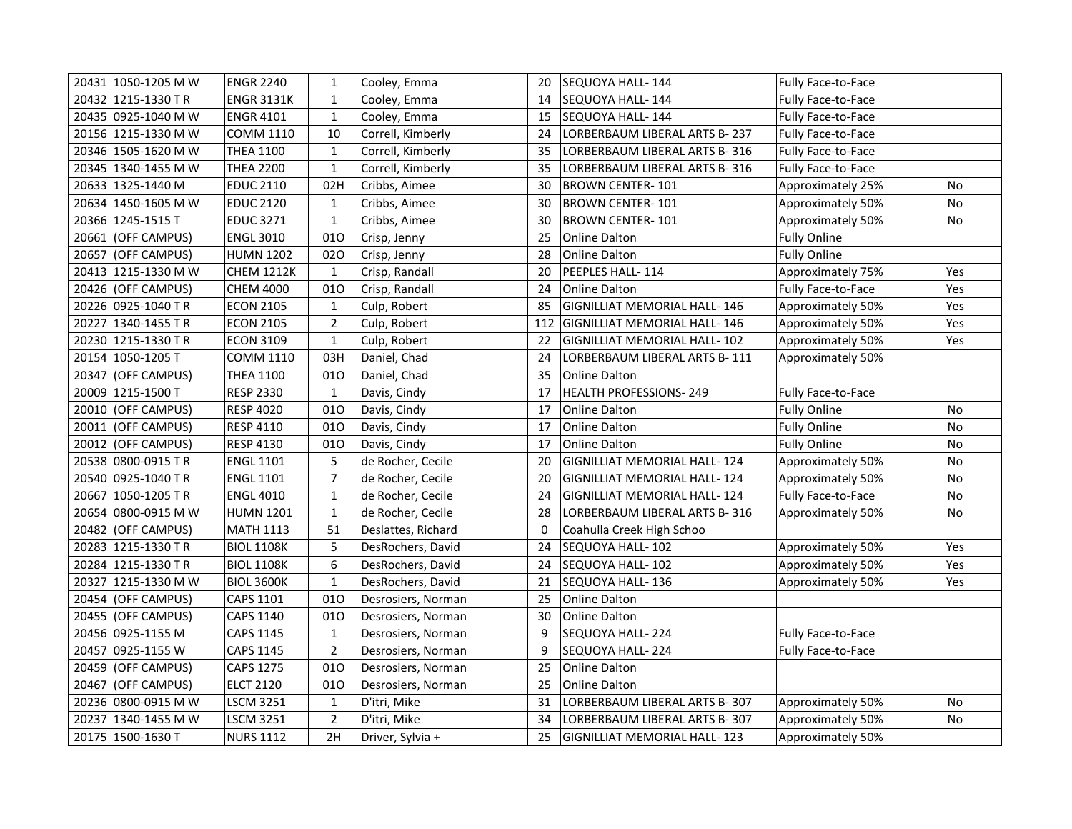| 20431 1050-1205 M W | <b>ENGR 2240</b>  | $\mathbf{1}$   | Cooley, Emma       | 20  | SEQUOYA HALL-144                    | Fully Face-to-Face        |           |
|---------------------|-------------------|----------------|--------------------|-----|-------------------------------------|---------------------------|-----------|
| 20432 1215-1330 TR  | <b>ENGR 3131K</b> | $\mathbf{1}$   | Cooley, Emma       | 14  | SEQUOYA HALL-144                    | <b>Fully Face-to-Face</b> |           |
| 20435 0925-1040 M W | <b>ENGR 4101</b>  | $\mathbf{1}$   | Cooley, Emma       | 15  | SEQUOYA HALL- 144                   | Fully Face-to-Face        |           |
| 20156 1215-1330 M W | <b>COMM 1110</b>  | 10             | Correll, Kimberly  | 24  | LORBERBAUM LIBERAL ARTS B-237       | Fully Face-to-Face        |           |
| 20346 1505-1620 M W | <b>THEA 1100</b>  | $\mathbf{1}$   | Correll, Kimberly  | 35  | LORBERBAUM LIBERAL ARTS B-316       | Fully Face-to-Face        |           |
| 20345 1340-1455 M W | <b>THEA 2200</b>  | $\mathbf{1}$   | Correll, Kimberly  | 35  | LORBERBAUM LIBERAL ARTS B-316       | Fully Face-to-Face        |           |
| 20633 1325-1440 M   | <b>EDUC 2110</b>  | 02H            | Cribbs, Aimee      | 30  | BROWN CENTER-101                    | Approximately 25%         | No        |
| 20634 1450-1605 M W | <b>EDUC 2120</b>  | $\mathbf{1}$   | Cribbs, Aimee      | 30  | BROWN CENTER-101                    | Approximately 50%         | <b>No</b> |
| 20366 1245-1515 T   | <b>EDUC 3271</b>  | $\mathbf{1}$   | Cribbs, Aimee      | 30  | <b>BROWN CENTER-101</b>             | Approximately 50%         | No        |
| 20661 (OFF CAMPUS)  | <b>ENGL 3010</b>  | 010            | Crisp, Jenny       | 25  | Online Dalton                       | <b>Fully Online</b>       |           |
| 20657 (OFF CAMPUS)  | <b>HUMN 1202</b>  | 020            | Crisp, Jenny       | 28  | <b>Online Dalton</b>                | <b>Fully Online</b>       |           |
| 20413 1215-1330 M W | <b>CHEM 1212K</b> | $\mathbf{1}$   | Crisp, Randall     | 20  | PEEPLES HALL-114                    | Approximately 75%         | Yes       |
| 20426 (OFF CAMPUS)  | <b>CHEM 4000</b>  | 010            | Crisp, Randall     | 24  | Online Dalton                       | Fully Face-to-Face        | Yes       |
| 20226 0925-1040 TR  | <b>ECON 2105</b>  | $\mathbf{1}$   | Culp, Robert       | 85  | <b>GIGNILLIAT MEMORIAL HALL-146</b> | Approximately 50%         | Yes       |
| 20227 1340-1455 TR  | <b>ECON 2105</b>  | $\overline{2}$ | Culp, Robert       | 112 | <b>GIGNILLIAT MEMORIAL HALL-146</b> | Approximately 50%         | Yes       |
| 20230 1215-1330 TR  | <b>ECON 3109</b>  | $\mathbf{1}$   | Culp, Robert       | 22  | GIGNILLIAT MEMORIAL HALL-102        | Approximately 50%         | Yes       |
| 20154 1050-1205 T   | <b>COMM 1110</b>  | 03H            | Daniel, Chad       | 24  | LORBERBAUM LIBERAL ARTS B-111       | Approximately 50%         |           |
| 20347 (OFF CAMPUS)  | <b>THEA 1100</b>  | 010            | Daniel, Chad       | 35  | Online Dalton                       |                           |           |
| 20009 1215-1500 T   | <b>RESP 2330</b>  | $\mathbf{1}$   | Davis, Cindy       | 17  | <b>HEALTH PROFESSIONS-249</b>       | Fully Face-to-Face        |           |
| 20010 (OFF CAMPUS)  | <b>RESP 4020</b>  | 010            | Davis, Cindy       | 17  | Online Dalton                       | <b>Fully Online</b>       | No        |
| 20011 (OFF CAMPUS)  | <b>RESP 4110</b>  | 010            | Davis, Cindy       | 17  | <b>Online Dalton</b>                | <b>Fully Online</b>       | No        |
| 20012 (OFF CAMPUS)  | <b>RESP 4130</b>  | 010            | Davis, Cindy       | 17  | <b>Online Dalton</b>                | <b>Fully Online</b>       | No        |
| 20538 0800-0915 TR  | <b>ENGL 1101</b>  | 5              | de Rocher, Cecile  | 20  | <b>GIGNILLIAT MEMORIAL HALL-124</b> | Approximately 50%         | No        |
| 20540 0925-1040 TR  | <b>ENGL 1101</b>  | $\overline{7}$ | de Rocher, Cecile  | 20  | GIGNILLIAT MEMORIAL HALL- 124       | Approximately 50%         | No        |
| 20667 1050-1205 TR  | <b>ENGL 4010</b>  | $\mathbf{1}$   | de Rocher, Cecile  | 24  | GIGNILLIAT MEMORIAL HALL- 124       | Fully Face-to-Face        | No        |
| 20654 0800-0915 M W | HUMN 1201         | $\mathbf{1}$   | de Rocher, Cecile  | 28  | LORBERBAUM LIBERAL ARTS B-316       | Approximately 50%         | No        |
| 20482 (OFF CAMPUS)  | MATH 1113         | 51             | Deslattes, Richard | 0   | Coahulla Creek High Schoo           |                           |           |
| 20283 1215-1330 TR  | <b>BIOL 1108K</b> | 5              | DesRochers, David  | 24  | SEQUOYA HALL-102                    | Approximately 50%         | Yes       |
| 20284 1215-1330 TR  | <b>BIOL 1108K</b> | 6              | DesRochers, David  | 24  | SEQUOYA HALL-102                    | Approximately 50%         | Yes       |
| 20327 1215-1330 M W | <b>BIOL 3600K</b> | $\mathbf 1$    | DesRochers, David  | 21  | SEQUOYA HALL-136                    | Approximately 50%         | Yes       |
| 20454 (OFF CAMPUS)  | CAPS 1101         | 010            | Desrosiers, Norman | 25  | <b>Online Dalton</b>                |                           |           |
| 20455 (OFF CAMPUS)  | CAPS 1140         | 010            | Desrosiers, Norman | 30  | <b>Online Dalton</b>                |                           |           |
| 20456 0925-1155 M   | CAPS 1145         | $\mathbf{1}$   | Desrosiers, Norman | 9   | SEQUOYA HALL- 224                   | Fully Face-to-Face        |           |
| 20457 0925-1155 W   | CAPS 1145         | $\overline{2}$ | Desrosiers, Norman | 9   | SEQUOYA HALL-224                    | Fully Face-to-Face        |           |
| 20459 (OFF CAMPUS)  | CAPS 1275         | 010            | Desrosiers, Norman | 25  | <b>Online Dalton</b>                |                           |           |
| 20467 (OFF CAMPUS)  | <b>ELCT 2120</b>  | 010            | Desrosiers, Norman | 25  | <b>Online Dalton</b>                |                           |           |
| 20236 0800-0915 M W | <b>LSCM 3251</b>  | $\mathbf{1}$   | D'itri, Mike       | 31  | LORBERBAUM LIBERAL ARTS B-307       | Approximately 50%         | <b>No</b> |
| 20237 1340-1455 M W | <b>LSCM 3251</b>  | $\overline{2}$ | D'itri, Mike       | 34  | LORBERBAUM LIBERAL ARTS B-307       | Approximately 50%         | No        |
| 20175   1500-1630 T | <b>NURS 1112</b>  | 2H             | Driver, Sylvia +   | 25  | GIGNILLIAT MEMORIAL HALL- 123       | Approximately 50%         |           |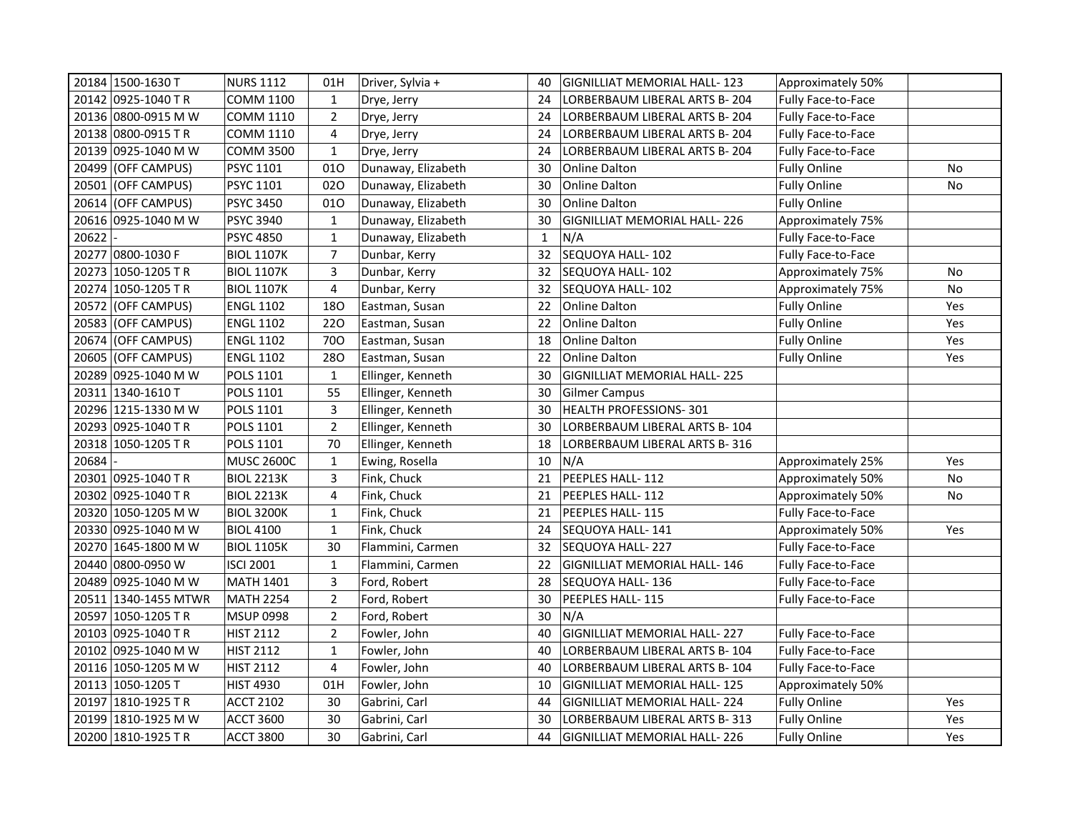|       | 20184 1500-1630 T     | <b>NURS 1112</b>  | 01H                     | Driver, Sylvia +   | 40          | GIGNILLIAT MEMORIAL HALL- 123       | Approximately 50%         |           |
|-------|-----------------------|-------------------|-------------------------|--------------------|-------------|-------------------------------------|---------------------------|-----------|
|       | 20142 0925-1040 TR    | <b>COMM 1100</b>  | $\mathbf{1}$            | Drye, Jerry        | 24          | LORBERBAUM LIBERAL ARTS B-204       | <b>Fully Face-to-Face</b> |           |
|       | 20136 0800-0915 M W   | <b>COMM 1110</b>  | $\overline{2}$          | Drye, Jerry        | 24          | LORBERBAUM LIBERAL ARTS B-204       | Fully Face-to-Face        |           |
|       | 20138 0800-0915 TR    | <b>COMM 1110</b>  | 4                       | Drye, Jerry        | 24          | LORBERBAUM LIBERAL ARTS B-204       | Fully Face-to-Face        |           |
|       | 20139 0925-1040 M W   | <b>COMM 3500</b>  | $\mathbf{1}$            | Drye, Jerry        | 24          | LORBERBAUM LIBERAL ARTS B-204       | Fully Face-to-Face        |           |
|       | 20499 (OFF CAMPUS)    | PSYC 1101         | 010                     | Dunaway, Elizabeth | 30          | <b>Online Dalton</b>                | <b>Fully Online</b>       | <b>No</b> |
|       | 20501 (OFF CAMPUS)    | <b>PSYC 1101</b>  | 020                     | Dunaway, Elizabeth | 30          | <b>Online Dalton</b>                | <b>Fully Online</b>       | No        |
|       | 20614 (OFF CAMPUS)    | <b>PSYC 3450</b>  | 010                     | Dunaway, Elizabeth | 30          | Online Dalton                       | <b>Fully Online</b>       |           |
|       | 20616 0925-1040 M W   | <b>PSYC 3940</b>  | $\mathbf{1}$            | Dunaway, Elizabeth | 30          | GIGNILLIAT MEMORIAL HALL-226        | Approximately 75%         |           |
| 20622 |                       | <b>PSYC 4850</b>  | $\mathbf{1}$            | Dunaway, Elizabeth | $\mathbf 1$ | N/A                                 | Fully Face-to-Face        |           |
|       | 20277 0800-1030 F     | <b>BIOL 1107K</b> | $\overline{7}$          | Dunbar, Kerry      | 32          | SEQUOYA HALL-102                    | Fully Face-to-Face        |           |
|       | 20273 1050-1205 TR    | <b>BIOL 1107K</b> | $\overline{\mathbf{3}}$ | Dunbar, Kerry      | 32          | SEQUOYA HALL-102                    | Approximately 75%         | <b>No</b> |
|       | 20274 1050-1205 TR    | <b>BIOL 1107K</b> | $\overline{\mathbf{4}}$ | Dunbar, Kerry      | 32          | SEQUOYA HALL-102                    | Approximately 75%         | No        |
|       | 20572 (OFF CAMPUS)    | <b>ENGL 1102</b>  | 180                     | Eastman, Susan     | 22          | <b>Online Dalton</b>                | <b>Fully Online</b>       | Yes       |
|       | 20583 (OFF CAMPUS)    | <b>ENGL 1102</b>  | 220                     | Eastman, Susan     | 22          | <b>Online Dalton</b>                | <b>Fully Online</b>       | Yes       |
|       | 20674 (OFF CAMPUS)    | <b>ENGL 1102</b>  | 700                     | Eastman, Susan     | 18          | Online Dalton                       | <b>Fully Online</b>       | Yes       |
| 20605 | (OFF CAMPUS)          | <b>ENGL 1102</b>  | 280                     | Eastman, Susan     | 22          | <b>Online Dalton</b>                | <b>Fully Online</b>       | Yes       |
|       | 20289 0925-1040 M W   | POLS 1101         | $\mathbf{1}$            | Ellinger, Kenneth  | 30          | <b>GIGNILLIAT MEMORIAL HALL-225</b> |                           |           |
|       | 20311 1340-1610 T     | <b>POLS 1101</b>  | 55                      | Ellinger, Kenneth  | 30          | Gilmer Campus                       |                           |           |
|       | 20296 1215-1330 M W   | POLS 1101         | 3                       | Ellinger, Kenneth  | 30          | HEALTH PROFESSIONS-301              |                           |           |
|       | 20293 0925-1040 TR    | POLS 1101         | $\overline{2}$          | Ellinger, Kenneth  | 30          | LORBERBAUM LIBERAL ARTS B- 104      |                           |           |
|       | 20318 1050-1205 TR    | <b>POLS 1101</b>  | 70                      | Ellinger, Kenneth  | 18          | LORBERBAUM LIBERAL ARTS B-316       |                           |           |
| 20684 |                       | <b>MUSC 2600C</b> | $\mathbf{1}$            | Ewing, Rosella     | 10          | N/A                                 | Approximately 25%         | Yes       |
|       | 20301 0925-1040 TR    | <b>BIOL 2213K</b> | 3                       | Fink, Chuck        | 21          | PEEPLES HALL-112                    | Approximately 50%         | No        |
|       | 20302 0925-1040 TR    | <b>BIOL 2213K</b> | 4                       | Fink, Chuck        | 21          | PEEPLES HALL-112                    | Approximately 50%         | No        |
|       | 20320 1050-1205 M W   | <b>BIOL 3200K</b> | $\mathbf{1}$            | Fink, Chuck        | 21          | PEEPLES HALL- 115                   | Fully Face-to-Face        |           |
|       | 20330 0925-1040 M W   | <b>BIOL 4100</b>  | $\mathbf{1}$            | Fink, Chuck        | 24          | SEQUOYA HALL-141                    | Approximately 50%         | Yes       |
|       | 20270 1645-1800 M W   | <b>BIOL 1105K</b> | 30                      | Flammini, Carmen   | 32          | SEQUOYA HALL- 227                   | Fully Face-to-Face        |           |
|       | 20440 0800-0950 W     | <b>ISCI 2001</b>  | $\mathbf{1}$            | Flammini, Carmen   | 22          | GIGNILLIAT MEMORIAL HALL-146        | Fully Face-to-Face        |           |
|       | 20489 0925-1040 M W   | <b>MATH 1401</b>  | 3                       | Ford, Robert       | 28          | SEQUOYA HALL-136                    | Fully Face-to-Face        |           |
|       | 20511 1340-1455 MTWR  | <b>MATH 2254</b>  | $\overline{2}$          | Ford, Robert       | 30          | PEEPLES HALL-115                    | Fully Face-to-Face        |           |
|       | 20597 1050-1205 TR    | <b>MSUP 0998</b>  | $\overline{2}$          | Ford, Robert       | 30          | N/A                                 |                           |           |
|       | 20103 0925-1040 TR    | <b>HIST 2112</b>  | $\overline{2}$          | Fowler, John       | 40          | <b>GIGNILLIAT MEMORIAL HALL-227</b> | Fully Face-to-Face        |           |
|       | 20102 0925-1040 M W   | <b>HIST 2112</b>  | $\mathbf{1}$            | Fowler, John       | 40          | LORBERBAUM LIBERAL ARTS B-104       | Fully Face-to-Face        |           |
|       | 20116 1050-1205 M W   | <b>HIST 2112</b>  | 4                       | Fowler, John       | 40          | LORBERBAUM LIBERAL ARTS B-104       | Fully Face-to-Face        |           |
|       | 20113 1050-1205 T     | HIST 4930         | 01H                     | Fowler, John       | 10          | <b>GIGNILLIAT MEMORIAL HALL-125</b> | Approximately 50%         |           |
|       | 20197 1810-1925 TR    | <b>ACCT 2102</b>  | 30                      | Gabrini, Carl      | 44          | <b>GIGNILLIAT MEMORIAL HALL-224</b> | <b>Fully Online</b>       | Yes       |
|       | 20199   1810-1925 M W | <b>ACCT 3600</b>  | 30                      | Gabrini, Carl      | 30          | LORBERBAUM LIBERAL ARTS B-313       | <b>Fully Online</b>       | Yes       |
|       | 20200 1810-1925 TR    | <b>ACCT 3800</b>  | 30                      | Gabrini, Carl      | 44          | GIGNILLIAT MEMORIAL HALL- 226       | <b>Fully Online</b>       | Yes       |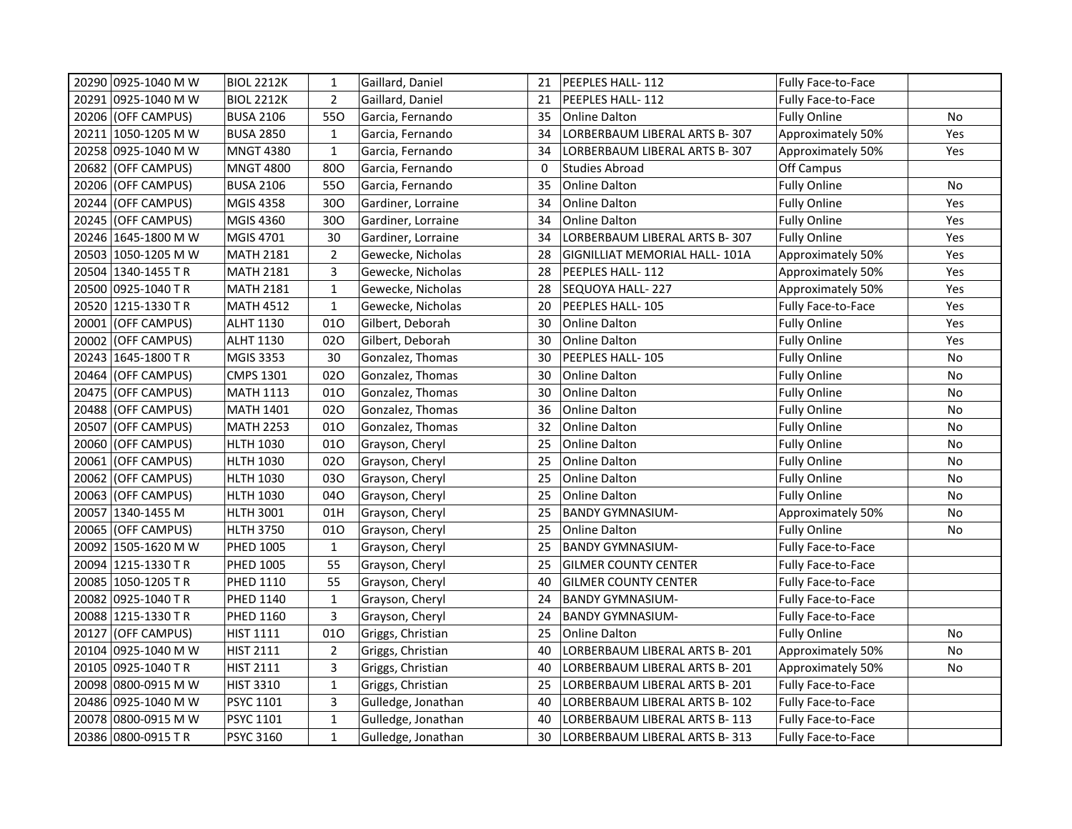|       | 20290 0925-1040 M W   | <b>BIOL 2212K</b> | $\mathbf{1}$   | Gaillard, Daniel   | 21 | PEEPLES HALL-112               | <b>Fully Face-to-Face</b> |     |
|-------|-----------------------|-------------------|----------------|--------------------|----|--------------------------------|---------------------------|-----|
|       | 20291 0925-1040 M W   | <b>BIOL 2212K</b> | $\overline{2}$ | Gaillard, Daniel   | 21 | PEEPLES HALL- 112              | Fully Face-to-Face        |     |
|       | 20206 (OFF CAMPUS)    | <b>BUSA 2106</b>  | 550            | Garcia, Fernando   | 35 | Online Dalton                  | <b>Fully Online</b>       | No  |
|       | 20211 1050-1205 M W   | <b>BUSA 2850</b>  | $\mathbf 1$    | Garcia, Fernando   | 34 | LORBERBAUM LIBERAL ARTS B-307  | Approximately 50%         | Yes |
|       | 20258  0925-1040 M W  | <b>MNGT 4380</b>  | $\mathbf{1}$   | Garcia, Fernando   | 34 | LORBERBAUM LIBERAL ARTS B-307  | Approximately 50%         | Yes |
|       | 20682 (OFF CAMPUS)    | <b>MNGT 4800</b>  | 800            | Garcia, Fernando   | 0  | Studies Abroad                 | Off Campus                |     |
| 20206 | (OFF CAMPUS)          | <b>BUSA 2106</b>  | 550            | Garcia, Fernando   | 35 | <b>Online Dalton</b>           | <b>Fully Online</b>       | No  |
| 20244 | (OFF CAMPUS)          | <b>MGIS 4358</b>  | 300            | Gardiner, Lorraine | 34 | <b>Online Dalton</b>           | <b>Fully Online</b>       | Yes |
| 20245 | (OFF CAMPUS)          | <b>MGIS 4360</b>  | 300            | Gardiner, Lorraine | 34 | <b>Online Dalton</b>           | <b>Fully Online</b>       | Yes |
|       | 20246   1645-1800 M W | MGIS 4701         | 30             | Gardiner, Lorraine | 34 | LORBERBAUM LIBERAL ARTS B-307  | <b>Fully Online</b>       | Yes |
|       | 20503 1050-1205 M W   | <b>MATH 2181</b>  | $\overline{2}$ | Gewecke, Nicholas  | 28 | GIGNILLIAT MEMORIAL HALL- 101A | Approximately 50%         | Yes |
|       | 20504 1340-1455 TR    | <b>MATH 2181</b>  | 3              | Gewecke, Nicholas  | 28 | PEEPLES HALL- 112              | Approximately 50%         | Yes |
|       | 20500  0925-1040 T R  | <b>MATH 2181</b>  | $\mathbf{1}$   | Gewecke, Nicholas  | 28 | SEQUOYA HALL-227               | Approximately 50%         | Yes |
|       | 20520 1215-1330 TR    | <b>MATH 4512</b>  | $\mathbf{1}$   | Gewecke, Nicholas  | 20 | PEEPLES HALL- 105              | <b>Fully Face-to-Face</b> | Yes |
|       | 20001 (OFF CAMPUS)    | ALHT 1130         | 010            | Gilbert, Deborah   | 30 | Online Dalton                  | <b>Fully Online</b>       | Yes |
|       | 20002 (OFF CAMPUS)    | <b>ALHT 1130</b>  | 020            | Gilbert, Deborah   | 30 | <b>Online Dalton</b>           | <b>Fully Online</b>       | Yes |
|       | 20243 1645-1800 TR    | <b>MGIS 3353</b>  | 30             | Gonzalez, Thomas   | 30 | PEEPLES HALL-105               | <b>Fully Online</b>       | No  |
|       | 20464 (OFF CAMPUS)    | <b>CMPS 1301</b>  | 020            | Gonzalez, Thomas   | 30 | <b>Online Dalton</b>           | <b>Fully Online</b>       | No  |
| 20475 | (OFF CAMPUS)          | <b>MATH 1113</b>  | 010            | Gonzalez, Thomas   | 30 | <b>Online Dalton</b>           | <b>Fully Online</b>       | No  |
|       | 20488 (OFF CAMPUS)    | <b>MATH 1401</b>  | 020            | Gonzalez, Thomas   | 36 | Online Dalton                  | <b>Fully Online</b>       | No  |
|       | 20507 (OFF CAMPUS)    | <b>MATH 2253</b>  | 010            | Gonzalez, Thomas   | 32 | <b>Online Dalton</b>           | <b>Fully Online</b>       | No  |
|       | 20060 (OFF CAMPUS)    | <b>HLTH 1030</b>  | 010            | Grayson, Cheryl    | 25 | Online Dalton                  | <b>Fully Online</b>       | No  |
|       | 20061 (OFF CAMPUS)    | <b>HLTH 1030</b>  | 020            | Grayson, Cheryl    | 25 | <b>Online Dalton</b>           | <b>Fully Online</b>       | No  |
|       | 20062 (OFF CAMPUS)    | <b>HLTH 1030</b>  | 030            | Grayson, Cheryl    | 25 | Online Dalton                  | <b>Fully Online</b>       | No  |
|       | 20063 (OFF CAMPUS)    | <b>HLTH 1030</b>  | 040            | Grayson, Cheryl    | 25 | <b>Online Dalton</b>           | <b>Fully Online</b>       | No  |
|       | 20057 1340-1455 M     | <b>HLTH 3001</b>  | 01H            | Grayson, Cheryl    | 25 | <b>BANDY GYMNASIUM-</b>        | Approximately 50%         | No  |
|       | 20065 (OFF CAMPUS)    | <b>HLTH 3750</b>  | 010            | Grayson, Cheryl    | 25 | Online Dalton                  | <b>Fully Online</b>       | No  |
|       | 20092  1505-1620 M W  | <b>PHED 1005</b>  | $\mathbf{1}$   | Grayson, Cheryl    | 25 | <b>BANDY GYMNASIUM-</b>        | <b>Fully Face-to-Face</b> |     |
|       | 20094  1215-1330 T R  | <b>PHED 1005</b>  | 55             | Grayson, Cheryl    | 25 | <b>GILMER COUNTY CENTER</b>    | <b>Fully Face-to-Face</b> |     |
|       | 20085 1050-1205 TR    | PHED 1110         | 55             | Grayson, Cheryl    | 40 | <b>GILMER COUNTY CENTER</b>    | <b>Fully Face-to-Face</b> |     |
|       | 20082 0925-1040 TR    | <b>PHED 1140</b>  | $\mathbf{1}$   | Grayson, Cheryl    | 24 | <b>BANDY GYMNASIUM-</b>        | <b>Fully Face-to-Face</b> |     |
|       | 20088 1215-1330 TR    | PHED 1160         | 3              | Grayson, Cheryl    | 24 | <b>BANDY GYMNASIUM-</b>        | <b>Fully Face-to-Face</b> |     |
|       | 20127 (OFF CAMPUS)    | <b>HIST 1111</b>  | 010            | Griggs, Christian  | 25 | Online Dalton                  | <b>Fully Online</b>       | No  |
|       | 20104 0925-1040 M W   | <b>HIST 2111</b>  | $\mathbf 2$    | Griggs, Christian  | 40 | LORBERBAUM LIBERAL ARTS B-201  | Approximately 50%         | No  |
|       | 20105 0925-1040 TR    | <b>HIST 2111</b>  | 3              | Griggs, Christian  | 40 | LORBERBAUM LIBERAL ARTS B- 201 | Approximately 50%         | No  |
|       | 20098  0800-0915 M W  | <b>HIST 3310</b>  | $\mathbf{1}$   | Griggs, Christian  | 25 | LORBERBAUM LIBERAL ARTS B-201  | Fully Face-to-Face        |     |
|       | 20486 0925-1040 M W   | PSYC 1101         | 3              | Gulledge, Jonathan | 40 | LORBERBAUM LIBERAL ARTS B-102  | <b>Fully Face-to-Face</b> |     |
|       | 20078 0800-0915 M W   | PSYC 1101         | $\mathbf{1}$   | Gulledge, Jonathan | 40 | LORBERBAUM LIBERAL ARTS B-113  | Fully Face-to-Face        |     |
|       | 20386 0800-0915 TR    | <b>PSYC 3160</b>  | $\mathbf{1}$   | Gulledge, Jonathan | 30 | LORBERBAUM LIBERAL ARTS B- 313 | <b>Fully Face-to-Face</b> |     |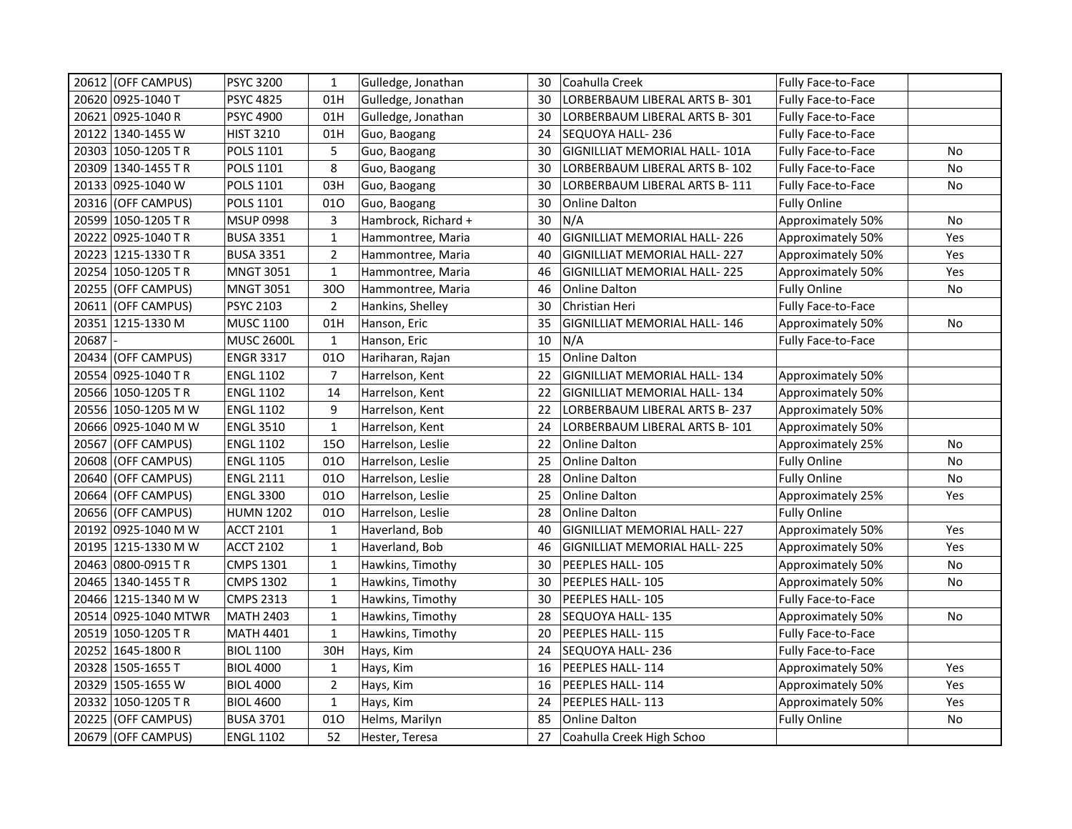| 20612 (OFF CAMPUS)   | PSYC 3200         | $\mathbf{1}$   | Gulledge, Jonathan  | 30 | Coahulla Creek                      | Fully Face-to-Face        |           |
|----------------------|-------------------|----------------|---------------------|----|-------------------------------------|---------------------------|-----------|
| 20620 0925-1040 T    | <b>PSYC 4825</b>  | 01H            | Gulledge, Jonathan  | 30 | LORBERBAUM LIBERAL ARTS B-301       | Fully Face-to-Face        |           |
| 20621 0925-1040 R    | PSYC 4900         | 01H            | Gulledge, Jonathan  | 30 | LORBERBAUM LIBERAL ARTS B-301       | Fully Face-to-Face        |           |
| 20122 1340-1455 W    | <b>HIST 3210</b>  | 01H            | Guo, Baogang        | 24 | SEQUOYA HALL-236                    | Fully Face-to-Face        |           |
| 20303 1050-1205 TR   | POLS 1101         | 5              | Guo, Baogang        | 30 | GIGNILLIAT MEMORIAL HALL- 101A      | Fully Face-to-Face        | No        |
| 20309 1340-1455 TR   | POLS 1101         | 8              | Guo, Baogang        | 30 | LORBERBAUM LIBERAL ARTS B- 102      | <b>Fully Face-to-Face</b> | No        |
| 20133 0925-1040 W    | POLS 1101         | 03H            | Guo, Baogang        | 30 | LORBERBAUM LIBERAL ARTS B-111       | Fully Face-to-Face        | No        |
| 20316 (OFF CAMPUS)   | POLS 1101         | 010            | Guo, Baogang        | 30 | Online Dalton                       | <b>Fully Online</b>       |           |
| 20599 1050-1205 TR   | <b>MSUP 0998</b>  | 3              | Hambrock, Richard + | 30 | N/A                                 | Approximately 50%         | <b>No</b> |
| 20222 0925-1040 TR   | <b>BUSA 3351</b>  | $\mathbf{1}$   | Hammontree, Maria   | 40 | GIGNILLIAT MEMORIAL HALL-226        | Approximately 50%         | Yes       |
| 20223 1215-1330 TR   | <b>BUSA 3351</b>  | $\overline{2}$ | Hammontree, Maria   | 40 | GIGNILLIAT MEMORIAL HALL-227        | Approximately 50%         | Yes       |
| 20254 1050-1205 TR   | <b>MNGT 3051</b>  | $\mathbf{1}$   | Hammontree, Maria   | 46 | <b>GIGNILLIAT MEMORIAL HALL-225</b> | Approximately 50%         | Yes       |
| 20255 (OFF CAMPUS)   | <b>MNGT 3051</b>  | 300            | Hammontree, Maria   | 46 | <b>Online Dalton</b>                | <b>Fully Online</b>       | No        |
| 20611 (OFF CAMPUS)   | <b>PSYC 2103</b>  | $\overline{2}$ | Hankins, Shelley    | 30 | Christian Heri                      | Fully Face-to-Face        |           |
| 20351 1215-1330 M    | <b>MUSC 1100</b>  | 01H            | Hanson, Eric        | 35 | GIGNILLIAT MEMORIAL HALL-146        | Approximately 50%         | No        |
| 20687                | <b>MUSC 2600L</b> | $\mathbf{1}$   | Hanson, Eric        | 10 | N/A                                 | Fully Face-to-Face        |           |
| 20434 (OFF CAMPUS)   | <b>ENGR 3317</b>  | 010            | Hariharan, Rajan    | 15 | Online Dalton                       |                           |           |
| 20554 0925-1040 TR   | <b>ENGL 1102</b>  | $\overline{7}$ | Harrelson, Kent     | 22 | GIGNILLIAT MEMORIAL HALL- 134       | Approximately 50%         |           |
| 20566 1050-1205 TR   | <b>ENGL 1102</b>  | 14             | Harrelson, Kent     | 22 | GIGNILLIAT MEMORIAL HALL-134        | Approximately 50%         |           |
| 20556 1050-1205 M W  | <b>ENGL 1102</b>  | 9              | Harrelson, Kent     | 22 | LORBERBAUM LIBERAL ARTS B-237       | Approximately 50%         |           |
| 20666 0925-1040 M W  | <b>ENGL 3510</b>  | $\mathbf{1}$   | Harrelson, Kent     | 24 | LORBERBAUM LIBERAL ARTS B-101       | Approximately 50%         |           |
| 20567 (OFF CAMPUS)   | <b>ENGL 1102</b>  | 150            | Harrelson, Leslie   | 22 | <b>Online Dalton</b>                | Approximately 25%         | No        |
| 20608 (OFF CAMPUS)   | <b>ENGL 1105</b>  | 010            | Harrelson, Leslie   | 25 | Online Dalton                       | <b>Fully Online</b>       | No        |
| 20640 (OFF CAMPUS)   | <b>ENGL 2111</b>  | 010            | Harrelson, Leslie   | 28 | Online Dalton                       | <b>Fully Online</b>       | <b>No</b> |
| 20664 (OFF CAMPUS)   | <b>ENGL 3300</b>  | 010            | Harrelson, Leslie   | 25 | Online Dalton                       | Approximately 25%         | Yes       |
| 20656 (OFF CAMPUS)   | <b>HUMN 1202</b>  | 010            | Harrelson, Leslie   | 28 | <b>Online Dalton</b>                | <b>Fully Online</b>       |           |
| 20192 0925-1040 M W  | <b>ACCT 2101</b>  | $\mathbf{1}$   | Haverland, Bob      | 40 | GIGNILLIAT MEMORIAL HALL-227        | Approximately 50%         | Yes       |
| 20195 1215-1330 M W  | <b>ACCT 2102</b>  | $\mathbf 1$    | Haverland, Bob      | 46 | <b>GIGNILLIAT MEMORIAL HALL-225</b> | Approximately 50%         | Yes       |
| 20463 0800-0915 T R  | <b>CMPS 1301</b>  | $\mathbf 1$    | Hawkins, Timothy    | 30 | PEEPLES HALL-105                    | Approximately 50%         | No        |
| 20465 340-1455 TR    | <b>CMPS 1302</b>  | $\mathbf{1}$   | Hawkins, Timothy    | 30 | PEEPLES HALL- 105                   | Approximately 50%         | <b>No</b> |
| 20466  1215-1340 M W | <b>CMPS 2313</b>  | $\mathbf{1}$   | Hawkins, Timothy    | 30 | PEEPLES HALL-105                    | <b>Fully Face-to-Face</b> |           |
| 20514 0925-1040 MTWR | MATH 2403         | $\mathbf{1}$   | Hawkins, Timothy    | 28 | SEQUOYA HALL-135                    | Approximately 50%         | <b>No</b> |
| 20519 1050-1205 TR   | <b>MATH 4401</b>  | $\mathbf{1}$   | Hawkins, Timothy    | 20 | PEEPLES HALL- 115                   | Fully Face-to-Face        |           |
| 20252 1645-1800 R    | <b>BIOL 1100</b>  | 30H            | Hays, Kim           | 24 | SEQUOYA HALL- 236                   | Fully Face-to-Face        |           |
| 20328 1505-1655 T    | <b>BIOL 4000</b>  | $\mathbf{1}$   | Hays, Kim           | 16 | PEEPLES HALL-114                    | Approximately 50%         | Yes       |
| 20329 1505-1655 W    | <b>BIOL 4000</b>  | $\overline{2}$ | Hays, Kim           | 16 | PEEPLES HALL-114                    | Approximately 50%         | Yes       |
| 20332 1050-1205 TR   | <b>BIOL 4600</b>  | $\mathbf{1}$   | Hays, Kim           | 24 | PEEPLES HALL-113                    | Approximately 50%         | Yes       |
| 20225 (OFF CAMPUS)   | <b>BUSA 3701</b>  | 010            | Helms, Marilyn      | 85 | <b>Online Dalton</b>                | <b>Fully Online</b>       | No        |
| 20679 (OFF CAMPUS)   | <b>ENGL 1102</b>  | 52             | Hester, Teresa      | 27 | Coahulla Creek High Schoo           |                           |           |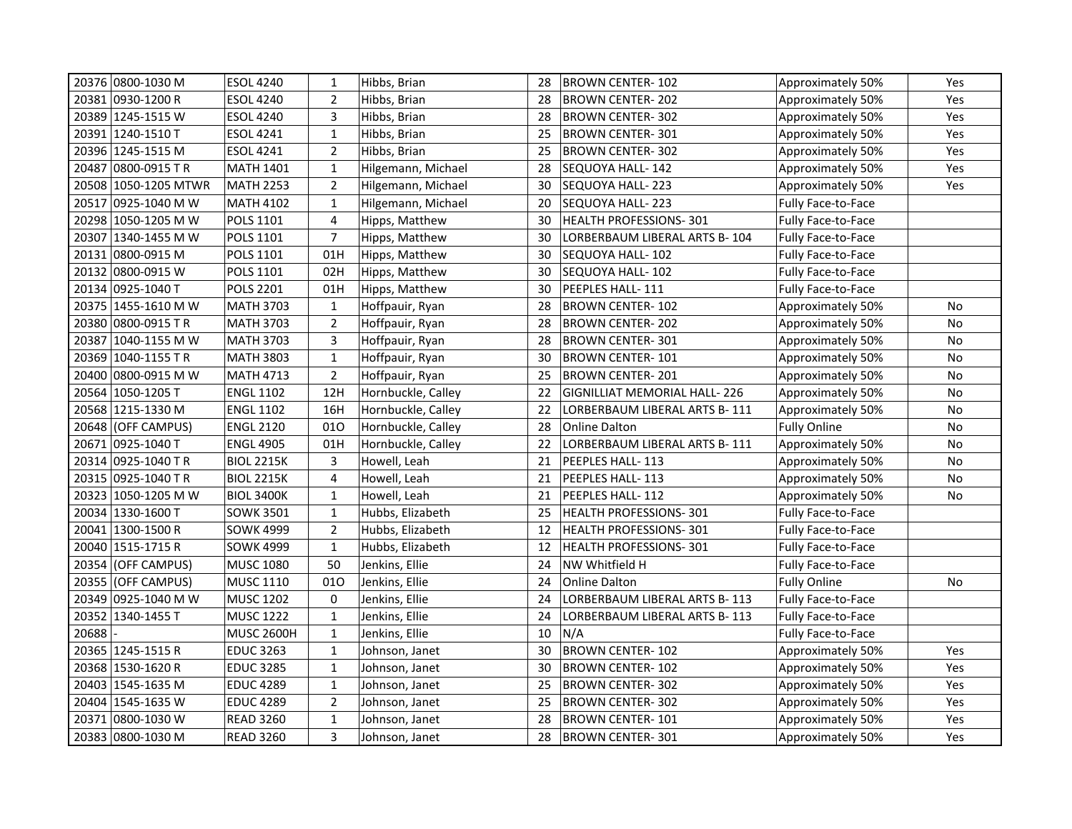| 20376 0800-1030 M    | <b>ESOL 4240</b>  | 1              | Hibbs, Brian       | 28 | BROWN CENTER-102                    | Approximately 50%         | Yes        |
|----------------------|-------------------|----------------|--------------------|----|-------------------------------------|---------------------------|------------|
| 20381 0930-1200 R    | <b>ESOL 4240</b>  | $\overline{2}$ | Hibbs, Brian       | 28 | <b>BROWN CENTER-202</b>             | Approximately 50%         | Yes        |
| 20389 1245-1515 W    | <b>ESOL 4240</b>  | 3              | Hibbs, Brian       | 28 | BROWN CENTER-302                    | Approximately 50%         | Yes        |
| 20391 1240-1510 T    | <b>ESOL 4241</b>  | $\mathbf 1$    | Hibbs, Brian       | 25 | BROWN CENTER-301                    | Approximately 50%         | Yes        |
| 20396 1245-1515 M    | <b>ESOL 4241</b>  | $\overline{2}$ | Hibbs, Brian       | 25 | <b>BROWN CENTER-302</b>             | Approximately 50%         | Yes        |
| 20487 0800-0915 TR   | <b>MATH 1401</b>  | $\mathbf{1}$   | Hilgemann, Michael | 28 | SEQUOYA HALL-142                    | Approximately 50%         | Yes        |
| 20508 1050-1205 MTWR | <b>MATH 2253</b>  | $\overline{2}$ | Hilgemann, Michael | 30 | SEQUOYA HALL-223                    | Approximately 50%         | Yes        |
| 20517 0925-1040 M W  | <b>MATH 4102</b>  | $\mathbf{1}$   | Hilgemann, Michael | 20 | SEQUOYA HALL-223                    | Fully Face-to-Face        |            |
| 20298 1050-1205 M W  | POLS 1101         | 4              | Hipps, Matthew     | 30 | <b>HEALTH PROFESSIONS-301</b>       | Fully Face-to-Face        |            |
| 20307  1340-1455 M W | POLS 1101         | $\overline{7}$ | Hipps, Matthew     | 30 | LORBERBAUM LIBERAL ARTS B- 104      | Fully Face-to-Face        |            |
| 20131  0800-0915 M   | POLS 1101         | 01H            | Hipps, Matthew     | 30 | SEQUOYA HALL-102                    | <b>Fully Face-to-Face</b> |            |
| 20132 0800-0915 W    | POLS 1101         | 02H            | Hipps, Matthew     | 30 | SEQUOYA HALL-102                    | Fully Face-to-Face        |            |
| 20134 0925-1040 T    | <b>POLS 2201</b>  | 01H            | Hipps, Matthew     | 30 | PEEPLES HALL-111                    | Fully Face-to-Face        |            |
| 20375 1455-1610 M W  | <b>MATH 3703</b>  | $\mathbf{1}$   | Hoffpauir, Ryan    | 28 | BROWN CENTER-102                    | Approximately 50%         | No         |
| 20380 0800-0915 TR   | <b>MATH 3703</b>  | $\overline{2}$ | Hoffpauir, Ryan    | 28 | <b>BROWN CENTER-202</b>             | Approximately 50%         | No         |
| 20387 1040-1155 M W  | <b>MATH 3703</b>  | 3              | Hoffpauir, Ryan    | 28 | <b>BROWN CENTER-301</b>             | Approximately 50%         | No         |
| 20369 1040-1155 TR   | <b>MATH 3803</b>  | $\mathbf{1}$   | Hoffpauir, Ryan    | 30 | <b>BROWN CENTER-101</b>             | Approximately 50%         | No         |
| 20400 0800-0915 M W  | <b>MATH 4713</b>  | $\overline{2}$ | Hoffpauir, Ryan    | 25 | <b>BROWN CENTER-201</b>             | Approximately 50%         | No         |
| 20564 1050-1205 T    | <b>ENGL 1102</b>  | 12H            | Hornbuckle, Calley | 22 | <b>GIGNILLIAT MEMORIAL HALL-226</b> | Approximately 50%         | No         |
| 20568 1215-1330 M    | <b>ENGL 1102</b>  | 16H            | Hornbuckle, Calley | 22 | LORBERBAUM LIBERAL ARTS B-111       | Approximately 50%         | No         |
| 20648 (OFF CAMPUS)   | <b>ENGL 2120</b>  | 010            | Hornbuckle, Calley | 28 | <b>Online Dalton</b>                | <b>Fully Online</b>       | No         |
| 20671  0925-1040 T   | <b>ENGL 4905</b>  | 01H            | Hornbuckle, Calley | 22 | LORBERBAUM LIBERAL ARTS B-111       | Approximately 50%         | No         |
| 20314  0925-1040 T R | <b>BIOL 2215K</b> | 3              | Howell, Leah       | 21 | PEEPLES HALL-113                    | Approximately 50%         | No         |
| 20315 0925-1040 TR   | <b>BIOL 2215K</b> | 4              | Howell, Leah       | 21 | PEEPLES HALL-113                    | Approximately 50%         | No         |
| 20323 1050-1205 M W  | <b>BIOL 3400K</b> | $\mathbf{1}$   | Howell, Leah       | 21 | PEEPLES HALL-112                    | Approximately 50%         | No         |
| 20034 1330-1600 T    | SOWK 3501         | $\mathbf{1}$   | Hubbs, Elizabeth   | 25 | HEALTH PROFESSIONS-301              | Fully Face-to-Face        |            |
| 20041 1300-1500 R    | SOWK 4999         | $\overline{2}$ | Hubbs, Elizabeth   | 12 | HEALTH PROFESSIONS-301              | Fully Face-to-Face        |            |
| 20040 1515-1715 R    | <b>SOWK 4999</b>  | $\mathbf{1}$   | Hubbs, Elizabeth   | 12 | HEALTH PROFESSIONS-301              | Fully Face-to-Face        |            |
| 20354 (OFF CAMPUS)   | <b>MUSC 1080</b>  | 50             | Jenkins, Ellie     | 24 | NW Whitfield H                      | <b>Fully Face-to-Face</b> |            |
| 20355 (OFF CAMPUS)   | <b>MUSC 1110</b>  | 010            | Jenkins, Ellie     | 24 | <b>Online Dalton</b>                | <b>Fully Online</b>       | No         |
| 20349 0925-1040 M W  | <b>MUSC 1202</b>  | 0              | Jenkins, Ellie     | 24 | LORBERBAUM LIBERAL ARTS B-113       | Fully Face-to-Face        |            |
| 20352 1340-1455 T    | <b>MUSC 1222</b>  | $\mathbf 1$    | Jenkins, Ellie     | 24 | LORBERBAUM LIBERAL ARTS B-113       | <b>Fully Face-to-Face</b> |            |
| 20688                | <b>MUSC 2600H</b> | $\mathbf{1}$   | Jenkins, Ellie     | 10 | N/A                                 | <b>Fully Face-to-Face</b> |            |
| 20365 1245-1515 R    | <b>EDUC 3263</b>  | $\mathbf{1}$   | Johnson, Janet     | 30 | <b>BROWN CENTER-102</b>             | Approximately 50%         | <b>Yes</b> |
| 20368   1530-1620 R  | <b>EDUC 3285</b>  | $\mathbf{1}$   | Johnson, Janet     | 30 | <b>BROWN CENTER-102</b>             | Approximately 50%         | Yes        |
| 20403 1545-1635 M    | <b>EDUC 4289</b>  | $\mathbf{1}$   | Johnson, Janet     | 25 | <b>BROWN CENTER-302</b>             | Approximately 50%         | Yes        |
| 20404 1545-1635 W    | <b>EDUC 4289</b>  | $\overline{2}$ | Johnson, Janet     | 25 | BROWN CENTER-302                    | Approximately 50%         | Yes        |
| 20371 0800-1030 W    | <b>READ 3260</b>  | $\mathbf{1}$   | Johnson, Janet     | 28 | BROWN CENTER-101                    | Approximately 50%         | Yes        |
| 20383 0800-1030 M    | <b>READ 3260</b>  | 3              | Johnson, Janet     | 28 | BROWN CENTER-301                    | Approximately 50%         | Yes        |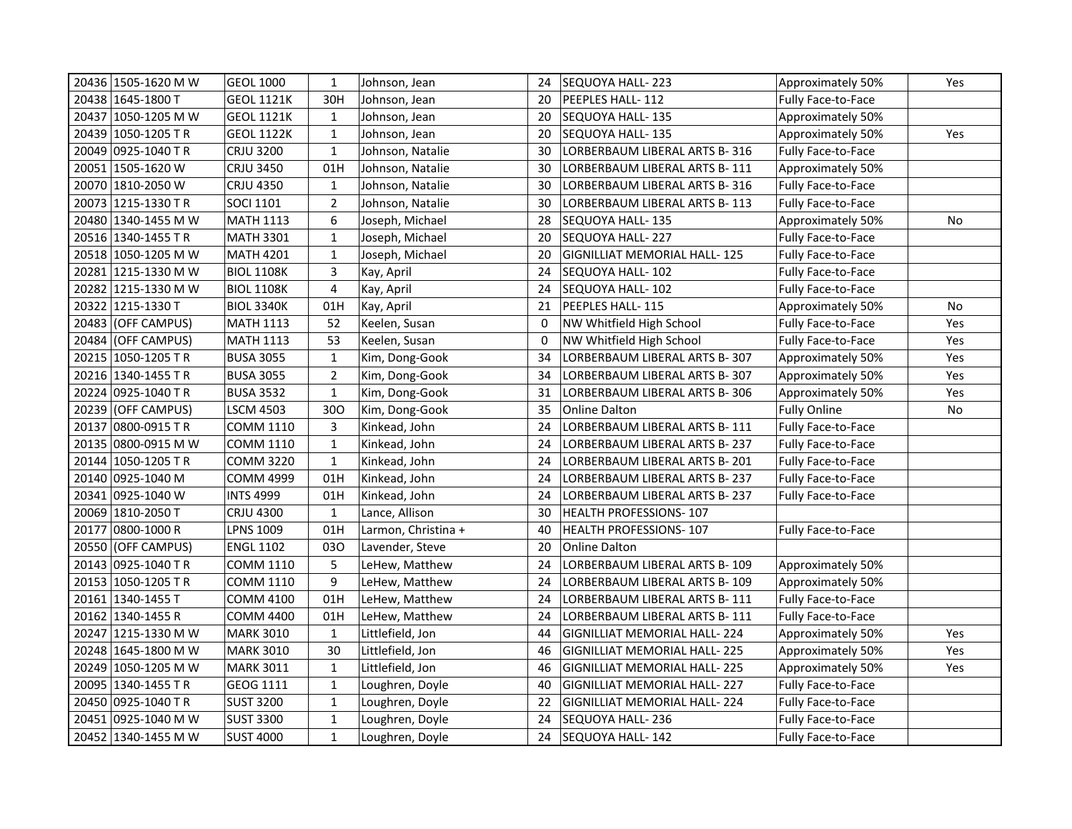| 20436 1505-1620 M W | <b>GEOL 1000</b>  | $\mathbf{1}$   | Johnson, Jean       | 24 | SEQUOYA HALL-223                    | Approximately 50%         | Yes |
|---------------------|-------------------|----------------|---------------------|----|-------------------------------------|---------------------------|-----|
| 20438 1645-1800 T   | <b>GEOL 1121K</b> | 30H            | Johnson, Jean       | 20 | PEEPLES HALL- 112                   | Fully Face-to-Face        |     |
| 20437 1050-1205 M W | <b>GEOL 1121K</b> | $\mathbf{1}$   | Johnson, Jean       | 20 | SEQUOYA HALL- 135                   | Approximately 50%         |     |
| 20439 1050-1205 TR  | <b>GEOL 1122K</b> | $\mathbf 1$    | Johnson, Jean       | 20 | SEQUOYA HALL-135                    | Approximately 50%         | Yes |
| 20049 0925-1040 TR  | <b>CRJU 3200</b>  | $\mathbf 1$    | Johnson, Natalie    | 30 | LORBERBAUM LIBERAL ARTS B-316       | <b>Fully Face-to-Face</b> |     |
| 20051 1505-1620 W   | <b>CRJU 3450</b>  | 01H            | Johnson, Natalie    | 30 | LORBERBAUM LIBERAL ARTS B-111       | Approximately 50%         |     |
| 20070 1810-2050 W   | <b>CRJU 4350</b>  | $\mathbf{1}$   | Johnson, Natalie    | 30 | LORBERBAUM LIBERAL ARTS B-316       | Fully Face-to-Face        |     |
| 20073 1215-1330 TR  | <b>SOCI 1101</b>  | $\overline{2}$ | Johnson, Natalie    | 30 | LORBERBAUM LIBERAL ARTS B- 113      | Fully Face-to-Face        |     |
| 20480 1340-1455 M W | <b>MATH 1113</b>  | 6              | Joseph, Michael     | 28 | SEQUOYA HALL-135                    | Approximately 50%         | No  |
| 20516 1340-1455 TR  | <b>MATH 3301</b>  | $\mathbf{1}$   | Joseph, Michael     | 20 | SEQUOYA HALL- 227                   | Fully Face-to-Face        |     |
| 20518 1050-1205 M W | <b>MATH 4201</b>  | $\mathbf{1}$   | Joseph, Michael     | 20 | <b>GIGNILLIAT MEMORIAL HALL-125</b> | Fully Face-to-Face        |     |
| 20281 1215-1330 M W | <b>BIOL 1108K</b> | 3              | Kay, April          | 24 | SEQUOYA HALL- 102                   | <b>Fully Face-to-Face</b> |     |
| 20282 1215-1330 M W | <b>BIOL 1108K</b> | 4              | Kay, April          | 24 | SEQUOYA HALL- 102                   | Fully Face-to-Face        |     |
| 20322 1215-1330 T   | <b>BIOL 3340K</b> | 01H            | Kay, April          | 21 | PEEPLES HALL- 115                   | Approximately 50%         | No  |
| 20483 (OFF CAMPUS)  | MATH 1113         | 52             | Keelen, Susan       | 0  | NW Whitfield High School            | Fully Face-to-Face        | Yes |
| 20484 (OFF CAMPUS)  | MATH 1113         | 53             | Keelen, Susan       | 0  | NW Whitfield High School            | Fully Face-to-Face        | Yes |
| 20215 1050-1205 TR  | <b>BUSA 3055</b>  | $\mathbf{1}$   | Kim, Dong-Gook      | 34 | LORBERBAUM LIBERAL ARTS B- 307      | Approximately 50%         | Yes |
| 20216 1340-1455 TR  | <b>BUSA 3055</b>  | $\overline{2}$ | Kim, Dong-Gook      | 34 | LORBERBAUM LIBERAL ARTS B-307       | Approximately 50%         | Yes |
| 20224 0925-1040 TR  | <b>BUSA 3532</b>  | $\mathbf{1}$   | Kim, Dong-Gook      | 31 | LORBERBAUM LIBERAL ARTS B-306       | Approximately 50%         | Yes |
| 20239 (OFF CAMPUS)  | <b>LSCM 4503</b>  | 300            | Kim, Dong-Gook      | 35 | Online Dalton                       | <b>Fully Online</b>       | No  |
| 20137 0800-0915 TR  | COMM 1110         | 3              | Kinkead, John       | 24 | LORBERBAUM LIBERAL ARTS B-111       | Fully Face-to-Face        |     |
| 20135 0800-0915 M W | COMM 1110         | $\mathbf{1}$   | Kinkead, John       | 24 | LORBERBAUM LIBERAL ARTS B-237       | <b>Fully Face-to-Face</b> |     |
| 20144 1050-1205 TR  | <b>COMM 3220</b>  | $\mathbf{1}$   | Kinkead, John       | 24 | LORBERBAUM LIBERAL ARTS B-201       | <b>Fully Face-to-Face</b> |     |
| 20140 0925-1040 M   | <b>COMM 4999</b>  | 01H            | Kinkead, John       | 24 | LORBERBAUM LIBERAL ARTS B-237       | <b>Fully Face-to-Face</b> |     |
| 20341 0925-1040 W   | <b>INTS 4999</b>  | 01H            | Kinkead, John       | 24 | LORBERBAUM LIBERAL ARTS B-237       | Fully Face-to-Face        |     |
| 20069 1810-2050 T   | <b>CRJU 4300</b>  | $\mathbf{1}$   | Lance, Allison      | 30 | <b>HEALTH PROFESSIONS-107</b>       |                           |     |
| 20177 0800-1000 R   | LPNS 1009         | 01H            | Larmon, Christina + | 40 | HEALTH PROFESSIONS-107              | <b>Fully Face-to-Face</b> |     |
| 20550 (OFF CAMPUS)  | <b>ENGL 1102</b>  | 030            | Lavender, Steve     | 20 | <b>Online Dalton</b>                |                           |     |
| 20143 0925-1040 TR  | COMM 1110         | 5              | LeHew, Matthew      | 24 | LORBERBAUM LIBERAL ARTS B- 109      | Approximately 50%         |     |
| 20153 1050-1205 TR  | COMM 1110         | 9              | LeHew, Matthew      | 24 | LORBERBAUM LIBERAL ARTS B- 109      | Approximately 50%         |     |
| 20161 1340-1455 T   | COMM 4100         | 01H            | LeHew, Matthew      | 24 | LORBERBAUM LIBERAL ARTS B- 111      | Fully Face-to-Face        |     |
| 20162 1340-1455 R   | <b>COMM 4400</b>  | 01H            | LeHew, Matthew      | 24 | LORBERBAUM LIBERAL ARTS B-111       | Fully Face-to-Face        |     |
| 20247 1215-1330 M W | <b>MARK 3010</b>  | $\mathbf{1}$   | Littlefield, Jon    | 44 | GIGNILLIAT MEMORIAL HALL- 224       | Approximately 50%         | Yes |
| 20248 1645-1800 M W | <b>MARK 3010</b>  | 30             | Littlefield, Jon    | 46 | GIGNILLIAT MEMORIAL HALL- 225       | Approximately 50%         | Yes |
| 20249 1050-1205 M W | <b>MARK 3011</b>  | $\mathbf{1}$   | Littlefield, Jon    | 46 | <b>GIGNILLIAT MEMORIAL HALL-225</b> | Approximately 50%         | Yes |
| 20095 1340-1455 TR  | GEOG 1111         | $\mathbf{1}$   | Loughren, Doyle     | 40 | <b>GIGNILLIAT MEMORIAL HALL-227</b> | Fully Face-to-Face        |     |
| 20450 0925-1040 TR  | <b>SUST 3200</b>  | $\mathbf{1}$   | Loughren, Doyle     | 22 | GIGNILLIAT MEMORIAL HALL-224        | Fully Face-to-Face        |     |
| 20451 0925-1040 M W | <b>SUST 3300</b>  | $\mathbf{1}$   | Loughren, Doyle     | 24 | SEQUOYA HALL- 236                   | Fully Face-to-Face        |     |
| 20452 1340-1455 M W | <b>SUST 4000</b>  | $\mathbf{1}$   | Loughren, Doyle     | 24 | SEQUOYA HALL-142                    | Fully Face-to-Face        |     |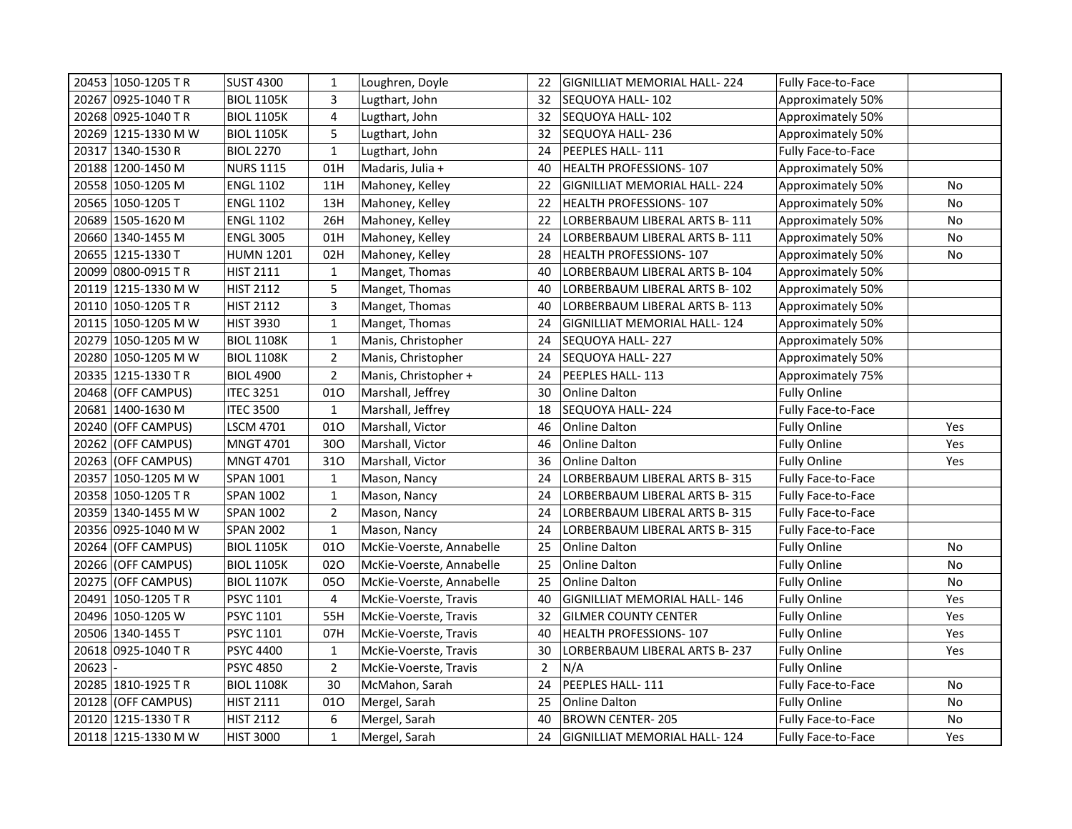|       | 20453 1050-1205 TR    | <b>SUST 4300</b>  | $\mathbf{1}$   | Loughren, Doyle          | 22             | GIGNILLIAT MEMORIAL HALL- 224       | Fully Face-to-Face        |     |
|-------|-----------------------|-------------------|----------------|--------------------------|----------------|-------------------------------------|---------------------------|-----|
|       | 20267 0925-1040 TR    | <b>BIOL 1105K</b> | 3              | Lugthart, John           | 32             | SEQUOYA HALL- 102                   | Approximately 50%         |     |
|       | 20268 0925-1040 TR    | <b>BIOL 1105K</b> | 4              | Lugthart, John           | 32             | SEQUOYA HALL-102                    | Approximately 50%         |     |
|       | 20269 1215-1330 M W   | <b>BIOL 1105K</b> | 5              | Lugthart, John           | 32             | SEQUOYA HALL-236                    | Approximately 50%         |     |
|       | 20317 1340-1530 R     | <b>BIOL 2270</b>  | $\mathbf{1}$   | Lugthart, John           | 24             | PEEPLES HALL-111                    | Fully Face-to-Face        |     |
|       | 20188 1200-1450 M     | <b>NURS 1115</b>  | 01H            | Madaris, Julia +         | 40             | HEALTH PROFESSIONS-107              | Approximately 50%         |     |
|       | 20558 1050-1205 M     | <b>ENGL 1102</b>  | 11H            | Mahoney, Kelley          | 22             | <b>GIGNILLIAT MEMORIAL HALL-224</b> | Approximately 50%         | No  |
|       | 20565 1050-1205 T     | <b>ENGL 1102</b>  | 13H            | Mahoney, Kelley          | 22             | HEALTH PROFESSIONS-107              | Approximately 50%         | No  |
|       | 20689 1505-1620 M     | <b>ENGL 1102</b>  | 26H            | Mahoney, Kelley          | 22             | LORBERBAUM LIBERAL ARTS B-111       | Approximately 50%         | No  |
|       | 20660 1340-1455 M     | <b>ENGL 3005</b>  | 01H            | Mahoney, Kelley          | 24             | LORBERBAUM LIBERAL ARTS B-111       | Approximately 50%         | No  |
|       | 20655   1215-1330 T   | <b>HUMN 1201</b>  | 02H            | Mahoney, Kelley          | 28             | HEALTH PROFESSIONS-107              | Approximately 50%         | No  |
|       | 20099 0800-0915 TR    | <b>HIST 2111</b>  | $\mathbf{1}$   | Manget, Thomas           | 40             | LORBERBAUM LIBERAL ARTS B-104       | Approximately 50%         |     |
|       | 20119 1215-1330 M W   | <b>HIST 2112</b>  | 5              | Manget, Thomas           | 40             | LORBERBAUM LIBERAL ARTS B-102       | Approximately 50%         |     |
|       | 20110 1050-1205 TR    | <b>HIST 2112</b>  | 3              | Manget, Thomas           | 40             | LORBERBAUM LIBERAL ARTS B- 113      | Approximately 50%         |     |
|       | 20115 1050-1205 M W   | <b>HIST 3930</b>  | $\mathbf{1}$   | Manget, Thomas           | 24             | <b>GIGNILLIAT MEMORIAL HALL-124</b> | Approximately 50%         |     |
|       | 20279  1050-1205 M W  | <b>BIOL 1108K</b> | $\mathbf{1}$   | Manis, Christopher       | 24             | SEQUOYA HALL-227                    | Approximately 50%         |     |
|       | 20280   1050-1205 M W | <b>BIOL 1108K</b> | $\overline{2}$ | Manis, Christopher       | 24             | SEQUOYA HALL-227                    | Approximately 50%         |     |
|       | 20335 1215-1330 TR    | <b>BIOL 4900</b>  | $\overline{2}$ | Manis, Christopher +     | 24             | PEEPLES HALL-113                    | Approximately 75%         |     |
|       | 20468 (OFF CAMPUS)    | <b>ITEC 3251</b>  | 010            | Marshall, Jeffrey        | 30             | <b>Online Dalton</b>                | <b>Fully Online</b>       |     |
|       | 20681 1400-1630 M     | <b>ITEC 3500</b>  | $\mathbf{1}$   | Marshall, Jeffrey        | 18             | SEQUOYA HALL-224                    | <b>Fully Face-to-Face</b> |     |
|       | 20240 (OFF CAMPUS)    | <b>LSCM 4701</b>  | 010            | Marshall, Victor         | 46             | Online Dalton                       | <b>Fully Online</b>       | Yes |
|       | 20262 (OFF CAMPUS)    | <b>MNGT 4701</b>  | 300            | Marshall, Victor         | 46             | <b>Online Dalton</b>                | <b>Fully Online</b>       | Yes |
|       | 20263 (OFF CAMPUS)    | <b>MNGT 4701</b>  | 310            | Marshall, Victor         | 36             | Online Dalton                       | <b>Fully Online</b>       | Yes |
|       | 20357 1050-1205 M W   | <b>SPAN 1001</b>  | $\mathbf{1}$   | Mason, Nancy             | 24             | LORBERBAUM LIBERAL ARTS B- 315      | Fully Face-to-Face        |     |
|       | 20358 1050-1205 TR    | <b>SPAN 1002</b>  | $\mathbf{1}$   | Mason, Nancy             | 24             | LORBERBAUM LIBERAL ARTS B- 315      | <b>Fully Face-to-Face</b> |     |
|       | 20359 1340-1455 M W   | <b>SPAN 1002</b>  | $\overline{2}$ | Mason, Nancy             | 24             | LORBERBAUM LIBERAL ARTS B- 315      | Fully Face-to-Face        |     |
|       | 20356 0925-1040 M W   | <b>SPAN 2002</b>  | $\mathbf{1}$   | Mason, Nancy             | 24             | LORBERBAUM LIBERAL ARTS B-315       | <b>Fully Face-to-Face</b> |     |
|       | 20264 (OFF CAMPUS)    | <b>BIOL 1105K</b> | 010            | McKie-Voerste, Annabelle | 25             | Online Dalton                       | <b>Fully Online</b>       | No  |
|       | 20266 (OFF CAMPUS)    | <b>BIOL 1105K</b> | 020            | McKie-Voerste, Annabelle | 25             | <b>Online Dalton</b>                | <b>Fully Online</b>       | No  |
|       | 20275 (OFF CAMPUS)    | <b>BIOL 1107K</b> | 050            | McKie-Voerste, Annabelle | 25             | Online Dalton                       | <b>Fully Online</b>       | No  |
|       | 20491   1050-1205 TR  | <b>PSYC 1101</b>  | $\overline{4}$ | McKie-Voerste, Travis    | 40             | GIGNILLIAT MEMORIAL HALL-146        | <b>Fully Online</b>       | Yes |
|       | 20496 1050-1205 W     | PSYC 1101         | 55H            | McKie-Voerste, Travis    | 32             | GILMER COUNTY CENTER                | <b>Fully Online</b>       | Yes |
|       | 20506 1340-1455 T     | PSYC 1101         | 07H            | McKie-Voerste, Travis    | 40             | <b>HEALTH PROFESSIONS-107</b>       | <b>Fully Online</b>       | Yes |
|       | 20618 0925-1040 TR    | <b>PSYC 4400</b>  | $\mathbf{1}$   | McKie-Voerste, Travis    | 30             | LORBERBAUM LIBERAL ARTS B- 237      | <b>Fully Online</b>       | Yes |
| 20623 |                       | <b>PSYC 4850</b>  | $\overline{2}$ | McKie-Voerste, Travis    | $\overline{2}$ | N/A                                 | <b>Fully Online</b>       |     |
|       | 20285   1810-1925 TR  | <b>BIOL 1108K</b> | 30             | McMahon, Sarah           | 24             | PEEPLES HALL-111                    | Fully Face-to-Face        | No  |
|       | 20128 (OFF CAMPUS)    | <b>HIST 2111</b>  | 010            | Mergel, Sarah            | 25             | <b>Online Dalton</b>                | <b>Fully Online</b>       | No  |
|       | 20120 1215-1330 TR    | <b>HIST 2112</b>  | 6              | Mergel, Sarah            | 40             | <b>BROWN CENTER-205</b>             | Fully Face-to-Face        | No  |
|       | 20118 1215-1330 M W   | <b>HIST 3000</b>  | $\mathbf 1$    | Mergel, Sarah            | 24             | GIGNILLIAT MEMORIAL HALL- 124       | <b>Fully Face-to-Face</b> | Yes |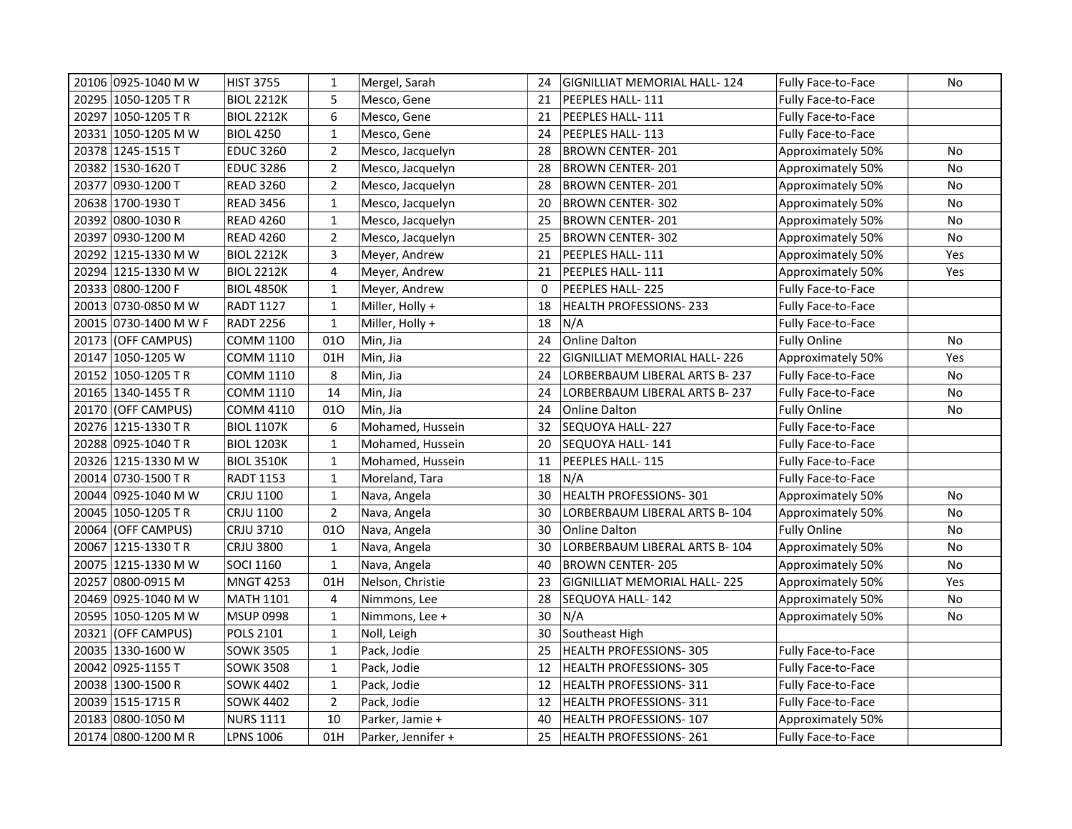| 20106 0925-1040 M W   | HIST 3755         | $\mathbf{1}$   | Mergel, Sarah      | 24 | <b>GIGNILLIAT MEMORIAL HALL-124</b> | Fully Face-to-Face        | No  |
|-----------------------|-------------------|----------------|--------------------|----|-------------------------------------|---------------------------|-----|
| 20295 1050-1205 TR    | <b>BIOL 2212K</b> | 5              | Mesco, Gene        | 21 | PEEPLES HALL- 111                   | <b>Fully Face-to-Face</b> |     |
| 20297 1050-1205 TR    | <b>BIOL 2212K</b> | 6              | Mesco, Gene        | 21 | PEEPLES HALL-111                    | Fully Face-to-Face        |     |
| 20331 1050-1205 M W   | <b>BIOL 4250</b>  | $\mathbf 1$    | Mesco, Gene        | 24 | PEEPLES HALL- 113                   | Fully Face-to-Face        |     |
| 20378 1245-1515 T     | <b>EDUC 3260</b>  | $\overline{2}$ | Mesco, Jacquelyn   | 28 | <b>BROWN CENTER-201</b>             | Approximately 50%         | No  |
| 20382 1530-1620 T     | <b>EDUC 3286</b>  | $\overline{2}$ | Mesco, Jacquelyn   | 28 | BROWN CENTER-201                    | Approximately 50%         | No  |
| 20377 0930-1200 T     | <b>READ 3260</b>  | $\overline{2}$ | Mesco, Jacquelyn   | 28 | <b>BROWN CENTER-201</b>             | Approximately 50%         | No  |
| 20638 1700-1930 T     | <b>READ 3456</b>  | $\mathbf{1}$   | Mesco, Jacquelyn   | 20 | BROWN CENTER-302                    | Approximately 50%         | No  |
| 20392 0800-1030 R     | <b>READ 4260</b>  | $\mathbf{1}$   | Mesco, Jacquelyn   | 25 | <b>BROWN CENTER-201</b>             | Approximately 50%         | No  |
| 20397 0930-1200 M     | <b>READ 4260</b>  | $\overline{2}$ | Mesco, Jacquelyn   | 25 | <b>BROWN CENTER-302</b>             | Approximately 50%         | No  |
| 20292 1215-1330 M W   | <b>BIOL 2212K</b> | 3              | Meyer, Andrew      | 21 | PEEPLES HALL-111                    | Approximately 50%         | Yes |
| 20294 1215-1330 M W   | <b>BIOL 2212K</b> | 4              | Meyer, Andrew      | 21 | PEEPLES HALL- 111                   | Approximately 50%         | Yes |
| 20333 0800-1200 F     | <b>BIOL 4850K</b> | $\mathbf{1}$   | Meyer, Andrew      | 0  | PEEPLES HALL-225                    | <b>Fully Face-to-Face</b> |     |
| 20013 0730-0850 M W   | <b>RADT 1127</b>  | $\mathbf{1}$   | Miller, Holly +    | 18 | <b>HEALTH PROFESSIONS-233</b>       | <b>Fully Face-to-Face</b> |     |
| 20015 0730-1400 M W F | <b>RADT 2256</b>  | $\mathbf{1}$   | Miller, Holly +    | 18 | N/A                                 | Fully Face-to-Face        |     |
| 20173 (OFF CAMPUS)    | <b>COMM 1100</b>  | 010            | Min, Jia           | 24 | Online Dalton                       | <b>Fully Online</b>       | No  |
| 20147 1050-1205 W     | COMM 1110         | 01H            | Min, Jia           | 22 | GIGNILLIAT MEMORIAL HALL- 226       | Approximately 50%         | Yes |
| 20152 1050-1205 TR    | <b>COMM 1110</b>  | 8              | Min, Jia           | 24 | LORBERBAUM LIBERAL ARTS B-237       | Fully Face-to-Face        | No  |
| 20165 340-1455 TR     | COMM 1110         | 14             | Min, Jia           | 24 | LORBERBAUM LIBERAL ARTS B- 237      | Fully Face-to-Face        | No  |
| 20170 (OFF CAMPUS)    | <b>COMM 4110</b>  | 010            | Min, Jia           | 24 | Online Dalton                       | <b>Fully Online</b>       | No  |
| 20276 1215-1330 TR    | <b>BIOL 1107K</b> | 6              | Mohamed, Hussein   | 32 | SEQUOYA HALL- 227                   | Fully Face-to-Face        |     |
| 20288 0925-1040 TR    | <b>BIOL 1203K</b> | $\mathbf{1}$   | Mohamed, Hussein   | 20 | SEQUOYA HALL-141                    | <b>Fully Face-to-Face</b> |     |
| 20326 1215-1330 M W   | <b>BIOL 3510K</b> | $\mathbf{1}$   | Mohamed, Hussein   | 11 | PEEPLES HALL-115                    | Fully Face-to-Face        |     |
| 20014  0730-1500 T R  | <b>RADT 1153</b>  | $\mathbf{1}$   | Moreland, Tara     | 18 | N/A                                 | <b>Fully Face-to-Face</b> |     |
| 20044 0925-1040 M W   | <b>CRJU 1100</b>  | $\mathbf{1}$   | Nava, Angela       | 30 | HEALTH PROFESSIONS-301              | Approximately 50%         | No  |
| 20045 1050-1205 TR    | CRJU 1100         | $\overline{2}$ | Nava, Angela       | 30 | LORBERBAUM LIBERAL ARTS B-104       | Approximately 50%         | No  |
| 20064 (OFF CAMPUS)    | <b>CRJU 3710</b>  | 010            | Nava, Angela       | 30 | Online Dalton                       | <b>Fully Online</b>       | No  |
| 20067 1215-1330 TR    | <b>CRJU 3800</b>  | $\mathbf 1$    | Nava, Angela       | 30 | LORBERBAUM LIBERAL ARTS B-104       | Approximately 50%         | No  |
| 20075 1215-1330 M W   | <b>SOCI 1160</b>  | $\mathbf{1}$   | Nava, Angela       | 40 | <b>BROWN CENTER-205</b>             | Approximately 50%         | No  |
| 20257 0800-0915 M     | <b>MNGT 4253</b>  | 01H            | Nelson, Christie   | 23 | <b>GIGNILLIAT MEMORIAL HALL-225</b> | Approximately 50%         | Yes |
| 20469 0925-1040 M W   | <b>MATH 1101</b>  | 4              | Nimmons, Lee       | 28 | SEQUOYA HALL-142                    | Approximately 50%         | No  |
| 20595 1050-1205 M W   | <b>MSUP 0998</b>  | $\mathbf{1}$   | Nimmons, Lee +     | 30 | N/A                                 | Approximately 50%         | No  |
| 20321 (OFF CAMPUS)    | POLS 2101         | $\mathbf{1}$   | Noll, Leigh        | 30 | Southeast High                      |                           |     |
| 20035 1330-1600 W     | <b>SOWK 3505</b>  | $\mathbf{1}$   | Pack, Jodie        | 25 | HEALTH PROFESSIONS- 305             | Fully Face-to-Face        |     |
| 20042 0925-1155 T     | <b>SOWK 3508</b>  | $\mathbf{1}$   | Pack, Jodie        | 12 | HEALTH PROFESSIONS-305              | Fully Face-to-Face        |     |
| 20038 1300-1500 R     | <b>SOWK 4402</b>  | $\mathbf{1}$   | Pack, Jodie        | 12 | HEALTH PROFESSIONS-311              | Fully Face-to-Face        |     |
| 20039 1515-1715 R     | <b>SOWK 4402</b>  | $\overline{2}$ | Pack, Jodie        | 12 | <b>HEALTH PROFESSIONS-311</b>       | Fully Face-to-Face        |     |
| 20183 0800-1050 M     | <b>NURS 1111</b>  | 10             | Parker, Jamie +    | 40 | HEALTH PROFESSIONS-107              | Approximately 50%         |     |
| 20174 0800-1200 MR    | <b>LPNS 1006</b>  | 01H            | Parker, Jennifer + | 25 | HEALTH PROFESSIONS-261              | Fully Face-to-Face        |     |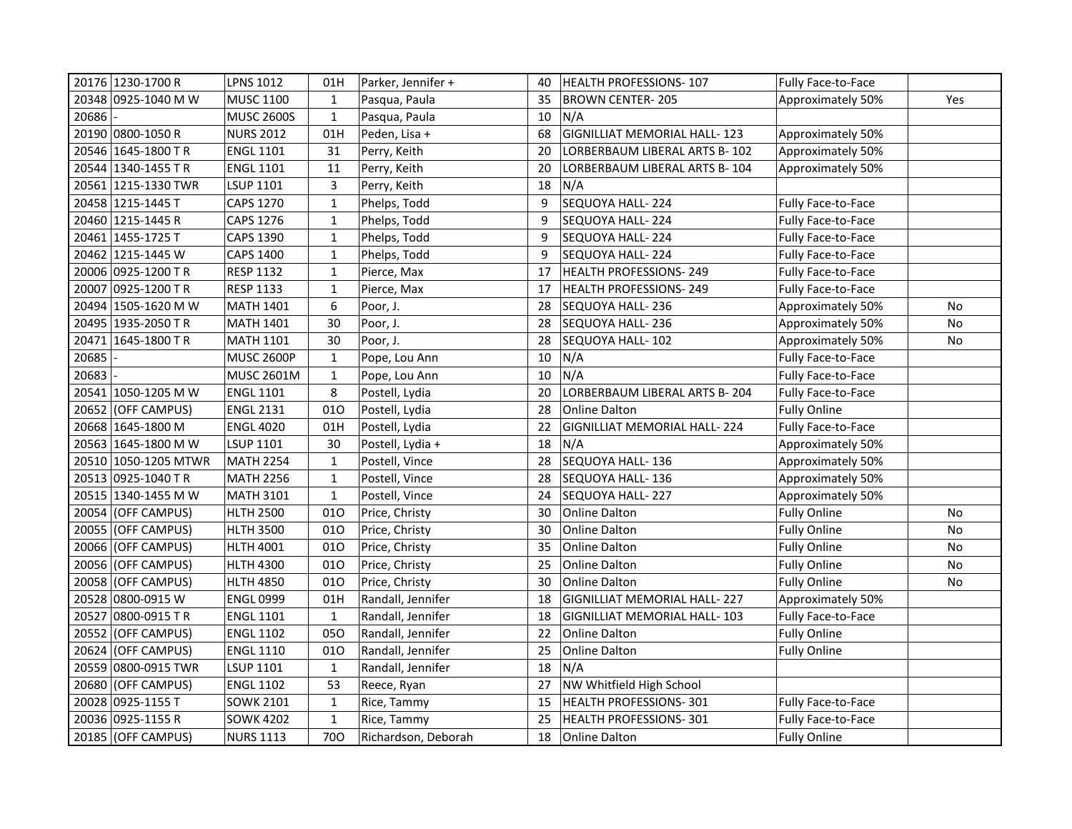|       | 20176 1230-1700 R    | LPNS 1012         | 01H          | Parker, Jennifer +  | 40 | HEALTH PROFESSIONS-107              | Fully Face-to-Face        |           |
|-------|----------------------|-------------------|--------------|---------------------|----|-------------------------------------|---------------------------|-----------|
|       | 20348 0925-1040 M W  | <b>MUSC 1100</b>  | $\mathbf{1}$ | Pasqua, Paula       | 35 | <b>BROWN CENTER-205</b>             | Approximately 50%         | Yes       |
| 20686 |                      | <b>MUSC 2600S</b> | $\mathbf{1}$ | Pasqua, Paula       | 10 | N/A                                 |                           |           |
|       | 20190 0800-1050 R    | <b>NURS 2012</b>  | 01H          | Peden, Lisa +       | 68 | GIGNILLIAT MEMORIAL HALL-123        | Approximately 50%         |           |
|       | 20546 1645-1800 TR   | <b>ENGL 1101</b>  | 31           | Perry, Keith        | 20 | LORBERBAUM LIBERAL ARTS B-102       | Approximately 50%         |           |
|       | 20544 1340-1455 TR   | <b>ENGL 1101</b>  | 11           | Perry, Keith        | 20 | LORBERBAUM LIBERAL ARTS B- 104      | Approximately 50%         |           |
|       | 20561 1215-1330 TWR  | <b>LSUP 1101</b>  | $\mathsf 3$  | Perry, Keith        | 18 | N/A                                 |                           |           |
|       | 20458 1215-1445 T    | <b>CAPS 1270</b>  | $\mathbf{1}$ | Phelps, Todd        | 9  | SEQUOYA HALL-224                    | Fully Face-to-Face        |           |
|       | 20460 1215-1445 R    | <b>CAPS 1276</b>  | $\mathbf{1}$ | Phelps, Todd        | 9  | SEQUOYA HALL-224                    | Fully Face-to-Face        |           |
|       | 20461 1455-1725 T    | CAPS 1390         | $\mathbf{1}$ | Phelps, Todd        | 9  | SEQUOYA HALL-224                    | <b>Fully Face-to-Face</b> |           |
|       | 20462 1215-1445 W    | <b>CAPS 1400</b>  | $\mathbf{1}$ | Phelps, Todd        | 9  | SEQUOYA HALL-224                    | Fully Face-to-Face        |           |
|       | 20006 0925-1200 TR   | RESP 1132         | $\mathbf{1}$ | Pierce, Max         | 17 | <b>HEALTH PROFESSIONS-249</b>       | Fully Face-to-Face        |           |
|       | 20007 0925-1200 TR   | <b>RESP 1133</b>  | $\mathbf{1}$ | Pierce, Max         | 17 | <b>HEALTH PROFESSIONS-249</b>       | Fully Face-to-Face        |           |
|       | 20494 1505-1620 M W  | <b>MATH 1401</b>  | 6            | Poor, J.            | 28 | SEQUOYA HALL-236                    | Approximately 50%         | No        |
|       | 20495 1935-2050 TR   | <b>MATH 1401</b>  | 30           | Poor, J.            | 28 | SEQUOYA HALL-236                    | Approximately 50%         | No        |
|       | 20471 1645-1800 TR   | <b>MATH 1101</b>  | 30           | Poor, J.            | 28 | SEQUOYA HALL-102                    | Approximately 50%         | <b>No</b> |
| 20685 |                      | <b>MUSC 2600P</b> | $\mathbf{1}$ | Pope, Lou Ann       | 10 | N/A                                 | Fully Face-to-Face        |           |
| 20683 |                      | <b>MUSC 2601M</b> | $\mathbf{1}$ | Pope, Lou Ann       | 10 | N/A                                 | Fully Face-to-Face        |           |
|       | 20541 1050-1205 M W  | <b>ENGL 1101</b>  | 8            | Postell, Lydia      | 20 | LORBERBAUM LIBERAL ARTS B-204       | Fully Face-to-Face        |           |
|       | 20652 (OFF CAMPUS)   | <b>ENGL 2131</b>  | 010          | Postell, Lydia      | 28 | Online Dalton                       | <b>Fully Online</b>       |           |
|       | 20668 1645-1800 M    | <b>ENGL 4020</b>  | 01H          | Postell, Lydia      | 22 | GIGNILLIAT MEMORIAL HALL-224        | Fully Face-to-Face        |           |
|       | 20563 1645-1800 M W  | <b>LSUP 1101</b>  | 30           | Postell, Lydia +    | 18 | N/A                                 | Approximately 50%         |           |
|       | 20510 1050-1205 MTWR | <b>MATH 2254</b>  | $\mathbf{1}$ | Postell, Vince      | 28 | SEQUOYA HALL-136                    | Approximately 50%         |           |
|       | 20513 0925-1040 TR   | <b>MATH 2256</b>  | $\mathbf{1}$ | Postell, Vince      | 28 | SEQUOYA HALL-136                    | Approximately 50%         |           |
|       | 20515 1340-1455 M W  | <b>MATH 3101</b>  | $\mathbf{1}$ | Postell, Vince      | 24 | SEQUOYA HALL-227                    | Approximately 50%         |           |
|       | 20054 (OFF CAMPUS)   | <b>HLTH 2500</b>  | 010          | Price, Christy      | 30 | Online Dalton                       | <b>Fully Online</b>       | No        |
|       | 20055 (OFF CAMPUS)   | HLTH 3500         | 010          | Price, Christy      | 30 | <b>Online Dalton</b>                | <b>Fully Online</b>       | No        |
|       | 20066 (OFF CAMPUS)   | HLTH 4001         | 010          | Price, Christy      | 35 | Online Dalton                       | <b>Fully Online</b>       | No        |
| 20056 | (OFF CAMPUS)         | HLTH 4300         | 010          | Price, Christy      | 25 | <b>Online Dalton</b>                | <b>Fully Online</b>       | No        |
|       | 20058 (OFF CAMPUS)   | <b>HLTH 4850</b>  | 010          | Price, Christy      | 30 | <b>Online Dalton</b>                | <b>Fully Online</b>       | No        |
|       | 20528  0800-0915 W   | <b>ENGL 0999</b>  | 01H          | Randall, Jennifer   | 18 | <b>GIGNILLIAT MEMORIAL HALL-227</b> | Approximately 50%         |           |
|       | 20527 0800-0915 TR   | <b>ENGL 1101</b>  | $\mathbf{1}$ | Randall, Jennifer   | 18 | <b>GIGNILLIAT MEMORIAL HALL-103</b> | Fully Face-to-Face        |           |
|       | 20552 (OFF CAMPUS)   | <b>ENGL 1102</b>  | 050          | Randall, Jennifer   | 22 | Online Dalton                       | <b>Fully Online</b>       |           |
|       | 20624 (OFF CAMPUS)   | <b>ENGL 1110</b>  | 010          | Randall, Jennifer   | 25 | Online Dalton                       | <b>Fully Online</b>       |           |
|       | 20559 0800-0915 TWR  | <b>LSUP 1101</b>  | $\mathbf{1}$ | Randall, Jennifer   | 18 | N/A                                 |                           |           |
|       | 20680 (OFF CAMPUS)   | <b>ENGL 1102</b>  | 53           | Reece, Ryan         | 27 | NW Whitfield High School            |                           |           |
|       | 20028 0925-1155 T    | SOWK 2101         | $\mathbf{1}$ | Rice, Tammy         | 15 | HEALTH PROFESSIONS-301              | Fully Face-to-Face        |           |
|       | 20036 0925-1155 R    | <b>SOWK 4202</b>  | $\mathbf{1}$ | Rice, Tammy         | 25 | HEALTH PROFESSIONS-301              | Fully Face-to-Face        |           |
|       | 20185 (OFF CAMPUS)   | <b>NURS 1113</b>  | 700          | Richardson, Deborah | 18 | Online Dalton                       | <b>Fully Online</b>       |           |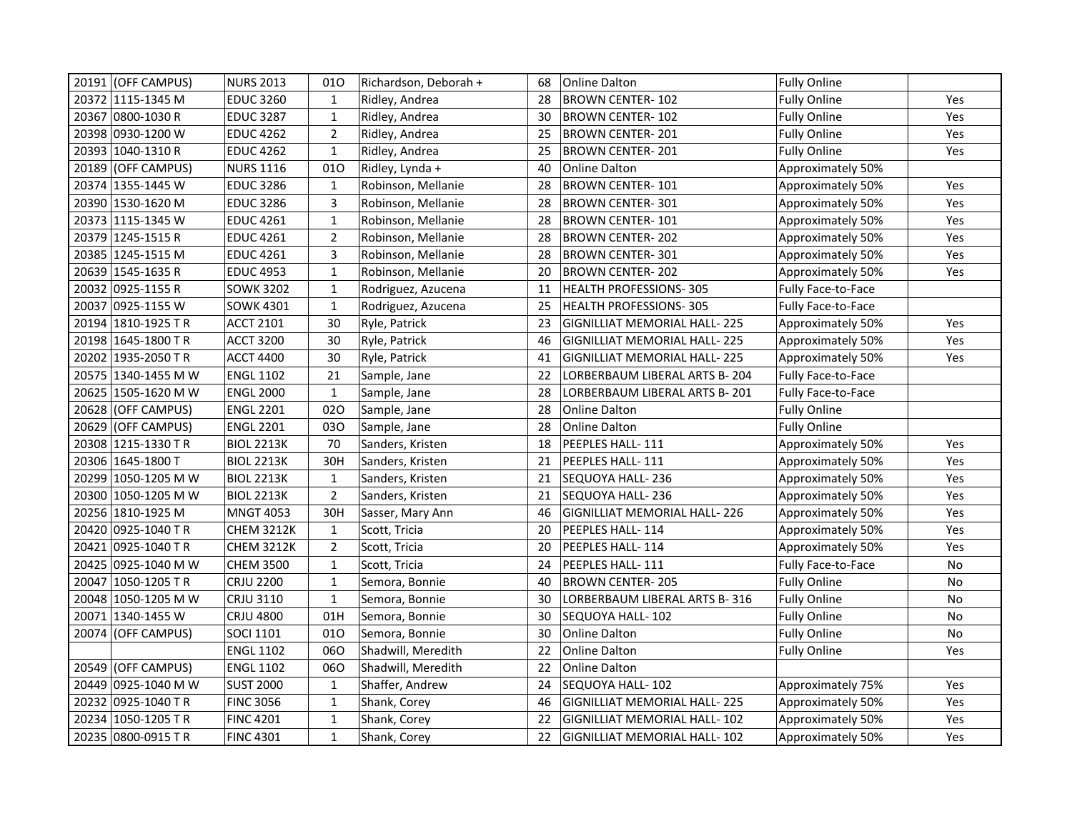|       | 20191 (OFF CAMPUS)   | <b>NURS 2013</b>  | 010            | Richardson, Deborah + | 68 | <b>Online Dalton</b>                | <b>Fully Online</b>       |           |
|-------|----------------------|-------------------|----------------|-----------------------|----|-------------------------------------|---------------------------|-----------|
|       | 20372 1115-1345 M    | <b>EDUC 3260</b>  | $\mathbf{1}$   | Ridley, Andrea        | 28 | <b>BROWN CENTER-102</b>             | <b>Fully Online</b>       | Yes       |
|       | 20367  0800-1030 R   | <b>EDUC 3287</b>  | $\mathbf{1}$   | Ridley, Andrea        | 30 | <b>BROWN CENTER-102</b>             | <b>Fully Online</b>       | Yes       |
|       | 20398  0930-1200 W   | <b>EDUC 4262</b>  | $\overline{2}$ | Ridley, Andrea        | 25 | <b>BROWN CENTER-201</b>             | <b>Fully Online</b>       | Yes       |
|       | 20393 1040-1310 R    | <b>EDUC 4262</b>  | $\mathbf{1}$   | Ridley, Andrea        | 25 | <b>BROWN CENTER-201</b>             | <b>Fully Online</b>       | Yes       |
|       | 20189 (OFF CAMPUS)   | <b>NURS 1116</b>  | 010            | Ridley, Lynda +       | 40 | <b>Online Dalton</b>                | Approximately 50%         |           |
|       | 20374 1355-1445 W    | <b>EDUC 3286</b>  | $\mathbf{1}$   | Robinson, Mellanie    | 28 | <b>BROWN CENTER-101</b>             | Approximately 50%         | Yes       |
|       | 20390 1530-1620 M    | <b>EDUC 3286</b>  | $\overline{3}$ | Robinson, Mellanie    | 28 | <b>BROWN CENTER-301</b>             | Approximately 50%         | Yes       |
|       | 20373 1115-1345 W    | <b>EDUC 4261</b>  | $\mathbf{1}$   | Robinson, Mellanie    | 28 | <b>BROWN CENTER-101</b>             | Approximately 50%         | Yes       |
|       | 20379 1245-1515 R    | <b>EDUC 4261</b>  | $\overline{2}$ | Robinson, Mellanie    | 28 | <b>BROWN CENTER-202</b>             | Approximately 50%         | Yes       |
|       | 20385 1245-1515 M    | <b>EDUC 4261</b>  | 3              | Robinson, Mellanie    | 28 | <b>BROWN CENTER-301</b>             | Approximately 50%         | Yes       |
|       | 20639 1545-1635 R    | <b>EDUC 4953</b>  | $\mathbf{1}$   | Robinson, Mellanie    | 20 | BROWN CENTER-202                    | Approximately 50%         | Yes       |
|       | 20032  0925-1155 R   | <b>SOWK 3202</b>  | $\mathbf{1}$   | Rodriguez, Azucena    | 11 | <b>HEALTH PROFESSIONS-305</b>       | Fully Face-to-Face        |           |
|       | 20037 0925-1155 W    | <b>SOWK 4301</b>  | $\mathbf{1}$   | Rodriguez, Azucena    | 25 | <b>HEALTH PROFESSIONS-305</b>       | <b>Fully Face-to-Face</b> |           |
|       | 20194 1810-1925 TR   | <b>ACCT 2101</b>  | 30             | Ryle, Patrick         | 23 | <b>GIGNILLIAT MEMORIAL HALL-225</b> | Approximately 50%         | Yes       |
|       | 20198 1645-1800 TR   | <b>ACCT 3200</b>  | 30             | Ryle, Patrick         | 46 | <b>GIGNILLIAT MEMORIAL HALL-225</b> | Approximately 50%         | Yes       |
|       | 20202 1935-2050 TR   | <b>ACCT 4400</b>  | 30             | Ryle, Patrick         | 41 | <b>GIGNILLIAT MEMORIAL HALL-225</b> | Approximately 50%         | Yes       |
|       | 20575  1340-1455 M W | <b>ENGL 1102</b>  | 21             | Sample, Jane          | 22 | LORBERBAUM LIBERAL ARTS B-204       | Fully Face-to-Face        |           |
|       | 20625  1505-1620 M W | <b>ENGL 2000</b>  | $\mathbf{1}$   | Sample, Jane          | 28 | LORBERBAUM LIBERAL ARTS B-201       | <b>Fully Face-to-Face</b> |           |
|       | 20628 (OFF CAMPUS)   | <b>ENGL 2201</b>  | 020            | Sample, Jane          | 28 | Online Dalton                       | <b>Fully Online</b>       |           |
|       | 20629 (OFF CAMPUS)   | <b>ENGL 2201</b>  | 030            | Sample, Jane          | 28 | Online Dalton                       | <b>Fully Online</b>       |           |
|       | 20308  1215-1330 T R | <b>BIOL 2213K</b> | 70             | Sanders, Kristen      | 18 | PEEPLES HALL-111                    | Approximately 50%         | Yes       |
|       | 20306 1645-1800 T    | <b>BIOL 2213K</b> | 30H            | Sanders, Kristen      | 21 | PEEPLES HALL-111                    | Approximately 50%         | Yes       |
|       | 20299 1050-1205 M W  | <b>BIOL 2213K</b> | $\mathbf{1}$   | Sanders, Kristen      | 21 | SEQUOYA HALL-236                    | Approximately 50%         | Yes       |
|       | 20300 1050-1205 M W  | <b>BIOL 2213K</b> | $\overline{2}$ | Sanders, Kristen      | 21 | SEQUOYA HALL-236                    | Approximately 50%         | Yes       |
|       | 20256 1810-1925 M    | <b>MNGT 4053</b>  | 30H            | Sasser, Mary Ann      | 46 | <b>GIGNILLIAT MEMORIAL HALL-226</b> | Approximately 50%         | Yes       |
|       | 20420 0925-1040 TR   | <b>CHEM 3212K</b> | $\mathbf{1}$   | Scott, Tricia         | 20 | PEEPLES HALL-114                    | Approximately 50%         | Yes       |
|       | 20421 0925-1040 TR   | <b>CHEM 3212K</b> | $\overline{2}$ | Scott, Tricia         | 20 | PEEPLES HALL- 114                   | Approximately 50%         | Yes       |
|       | 20425 0925-1040 M W  | <b>CHEM 3500</b>  | $\mathbf{1}$   | Scott, Tricia         | 24 | PEEPLES HALL-111                    | <b>Fully Face-to-Face</b> | No        |
| 20047 | 1050-1205 TR         | <b>CRJU 2200</b>  | $\mathbf{1}$   | Semora, Bonnie        | 40 | <b>BROWN CENTER-205</b>             | <b>Fully Online</b>       | <b>No</b> |
|       | 20048 1050-1205 M W  | <b>CRJU 3110</b>  | $\mathbf{1}$   | Semora, Bonnie        | 30 | LORBERBAUM LIBERAL ARTS B-316       | <b>Fully Online</b>       | No        |
|       | 20071 1340-1455 W    | <b>CRJU 4800</b>  | 01H            | Semora, Bonnie        | 30 | SEQUOYA HALL-102                    | <b>Fully Online</b>       | No        |
|       | 20074 (OFF CAMPUS)   | <b>SOCI 1101</b>  | 010            | Semora, Bonnie        | 30 | <b>Online Dalton</b>                | <b>Fully Online</b>       | No        |
|       |                      | <b>ENGL 1102</b>  | 060            | Shadwill, Meredith    | 22 | <b>Online Dalton</b>                | <b>Fully Online</b>       | Yes       |
|       | 20549 (OFF CAMPUS)   | <b>ENGL 1102</b>  | 060            | Shadwill, Meredith    | 22 | <b>Online Dalton</b>                |                           |           |
|       | 20449 0925-1040 M W  | <b>SUST 2000</b>  | $\mathbf{1}$   | Shaffer, Andrew       | 24 | SEQUOYA HALL-102                    | Approximately 75%         | Yes       |
|       | 20232  0925-1040 T R | <b>FINC 3056</b>  | $\mathbf{1}$   | Shank, Corey          | 46 | GIGNILLIAT MEMORIAL HALL- 225       | Approximately 50%         | Yes       |
|       | 20234 1050-1205 TR   | <b>FINC 4201</b>  | $\mathbf{1}$   | Shank, Corey          | 22 | <b>GIGNILLIAT MEMORIAL HALL-102</b> | Approximately 50%         | Yes       |
|       | 20235 0800-0915 TR   | <b>FINC 4301</b>  | $\mathbf{1}$   | Shank, Corey          | 22 | GIGNILLIAT MEMORIAL HALL-102        | Approximately 50%         | Yes       |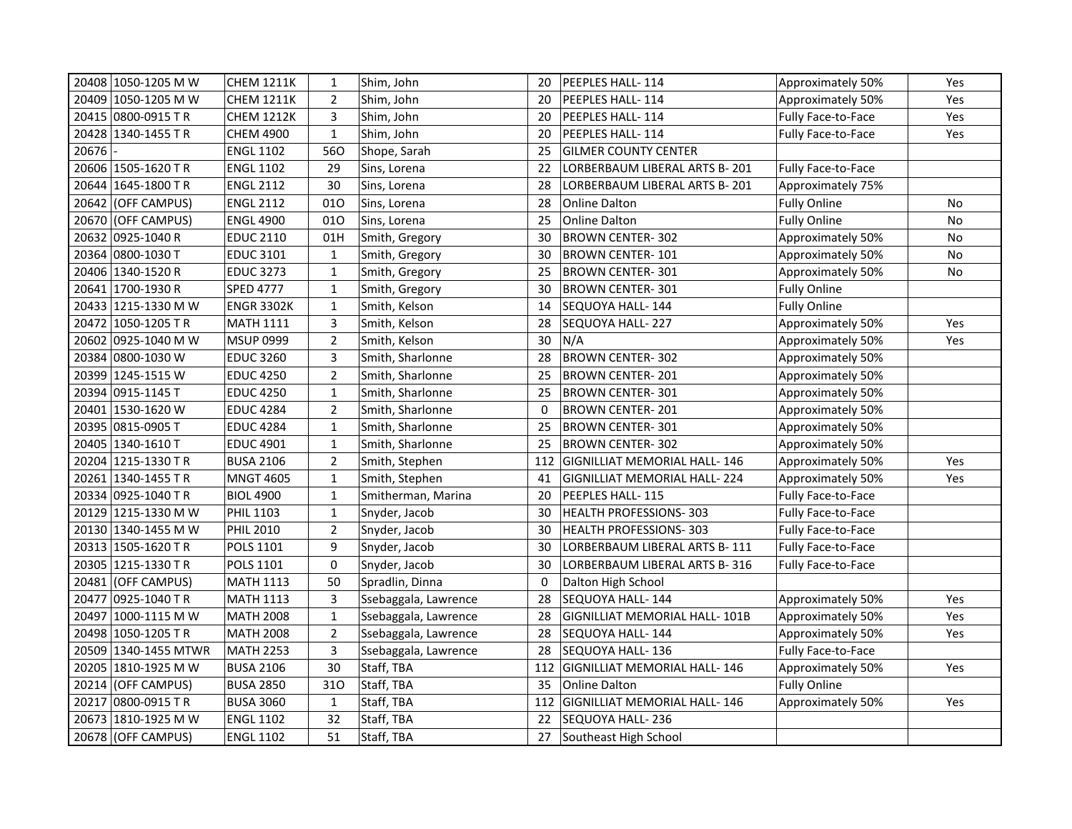|       | 20408 1050-1205 M W  | <b>CHEM 1211K</b> | 1              | Shim, John           | 20          | PEEPLES HALL-114                    | Approximately 50%         | Yes |
|-------|----------------------|-------------------|----------------|----------------------|-------------|-------------------------------------|---------------------------|-----|
|       | 20409 1050-1205 M W  | <b>CHEM 1211K</b> | $\overline{2}$ | Shim, John           | 20          | PEEPLES HALL- 114                   | Approximately 50%         | Yes |
|       | 20415 0800-0915 TR   | <b>CHEM 1212K</b> | 3              | Shim, John           | 20          | PEEPLES HALL-114                    | Fully Face-to-Face        | Yes |
|       | 20428 1340-1455 TR   | <b>CHEM 4900</b>  | $\mathbf 1$    | Shim, John           | 20          | PEEPLES HALL-114                    | Fully Face-to-Face        | Yes |
| 20676 |                      | <b>ENGL 1102</b>  | 560            | Shope, Sarah         | 25          | <b>GILMER COUNTY CENTER</b>         |                           |     |
|       | 20606 1505-1620 TR   | <b>ENGL 1102</b>  | 29             | Sins, Lorena         | 22          | LORBERBAUM LIBERAL ARTS B-201       | Fully Face-to-Face        |     |
|       | 20644 1645-1800 TR   | <b>ENGL 2112</b>  | 30             | Sins, Lorena         | 28          | LORBERBAUM LIBERAL ARTS B-201       | Approximately 75%         |     |
|       | 20642 (OFF CAMPUS)   | <b>ENGL 2112</b>  | 010            | Sins, Lorena         | 28          | Online Dalton                       | <b>Fully Online</b>       | No  |
|       | 20670  (OFF CAMPUS)  | <b>ENGL 4900</b>  | 010            | Sins, Lorena         | 25          | Online Dalton                       | <b>Fully Online</b>       | No  |
|       | 20632 0925-1040 R    | <b>EDUC 2110</b>  | 01H            | Smith, Gregory       | 30          | <b>BROWN CENTER-302</b>             | Approximately 50%         | No  |
|       | 20364 0800-1030 T    | <b>EDUC 3101</b>  | $\mathbf{1}$   | Smith, Gregory       | 30          | <b>BROWN CENTER-101</b>             | Approximately 50%         | No  |
|       | 20406 1340-1520 R    | <b>EDUC 3273</b>  | $\mathbf{1}$   | Smith, Gregory       | 25          | BROWN CENTER-301                    | Approximately 50%         | No  |
|       | 20641 1700-1930 R    | <b>SPED 4777</b>  | $\mathbf{1}$   | Smith, Gregory       | 30          | <b>BROWN CENTER-301</b>             | <b>Fully Online</b>       |     |
|       | 20433 1215-1330 M W  | <b>ENGR 3302K</b> | $\mathbf{1}$   | Smith, Kelson        | 14          | SEQUOYA HALL- 144                   | <b>Fully Online</b>       |     |
|       | 20472 1050-1205 TR   | <b>MATH 1111</b>  | 3              | Smith, Kelson        | 28          | SEQUOYA HALL-227                    | Approximately 50%         | Yes |
|       | 20602 0925-1040 M W  | <b>MSUP 0999</b>  | $\overline{2}$ | Smith, Kelson        | 30          | N/A                                 | Approximately 50%         | Yes |
|       | 20384 0800-1030 W    | <b>EDUC 3260</b>  | 3              | Smith, Sharlonne     | 28          | <b>BROWN CENTER-302</b>             | Approximately 50%         |     |
|       | 20399 1245-1515 W    | <b>EDUC 4250</b>  | $\overline{2}$ | Smith, Sharlonne     | 25          | BROWN CENTER-201                    | Approximately 50%         |     |
|       | 20394 0915-1145 T    | <b>EDUC 4250</b>  | $\mathbf{1}$   | Smith, Sharlonne     | 25          | BROWN CENTER-301                    | Approximately 50%         |     |
|       | 20401 1530-1620 W    | <b>EDUC 4284</b>  | $\overline{2}$ | Smith, Sharlonne     | 0           | BROWN CENTER-201                    | Approximately 50%         |     |
|       | 20395 0815-0905 T    | <b>EDUC 4284</b>  | $\mathbf{1}$   | Smith, Sharlonne     | 25          | BROWN CENTER-301                    | Approximately 50%         |     |
|       | 20405 1340-1610 T    | <b>EDUC 4901</b>  | $\mathbf{1}$   | Smith, Sharlonne     | 25          | <b>BROWN CENTER-302</b>             | Approximately 50%         |     |
|       | 20204 1215-1330 TR   | <b>BUSA 2106</b>  | $\overline{2}$ | Smith, Stephen       | 112         | GIGNILLIAT MEMORIAL HALL-146        | Approximately 50%         | Yes |
|       | 20261 1340-1455 TR   | <b>MNGT 4605</b>  | $\mathbf{1}$   | Smith, Stephen       | 41          | GIGNILLIAT MEMORIAL HALL- 224       | Approximately 50%         | Yes |
|       | 20334 0925-1040 TR   | <b>BIOL 4900</b>  | $\mathbf{1}$   | Smitherman, Marina   | 20          | PEEPLES HALL-115                    | Fully Face-to-Face        |     |
|       | 20129 1215-1330 M W  | <b>PHIL 1103</b>  | $\mathbf{1}$   | Snyder, Jacob        | 30          | <b>HEALTH PROFESSIONS-303</b>       | Fully Face-to-Face        |     |
|       | 20130 1340-1455 M W  | <b>PHIL 2010</b>  | $\mathbf 2$    | Snyder, Jacob        | 30          | <b>HEALTH PROFESSIONS-303</b>       | Fully Face-to-Face        |     |
|       | 20313 1505-1620 TR   | POLS 1101         | 9              | Snyder, Jacob        | 30          | LORBERBAUM LIBERAL ARTS B-111       | Fully Face-to-Face        |     |
|       | 20305 1215-1330 TR   | POLS 1101         | 0              | Snyder, Jacob        | 30          | LORBERBAUM LIBERAL ARTS B- 316      | <b>Fully Face-to-Face</b> |     |
|       | 20481 (OFF CAMPUS)   | <b>MATH 1113</b>  | 50             | Spradlin, Dinna      | $\mathbf 0$ | Dalton High School                  |                           |     |
|       | 20477 0925-1040 TR   | <b>MATH 1113</b>  | 3              | Ssebaggala, Lawrence | 28          | SEQUOYA HALL-144                    | Approximately 50%         | Yes |
|       | 20497  1000-1115 M W | <b>MATH 2008</b>  | $\mathbf{1}$   | Ssebaggala, Lawrence | 28          | GIGNILLIAT MEMORIAL HALL-101B       | Approximately 50%         | Yes |
|       | 20498 1050-1205 TR   | <b>MATH 2008</b>  | $\overline{2}$ | Ssebaggala, Lawrence | 28          | SEQUOYA HALL-144                    | Approximately 50%         | Yes |
|       | 20509 1340-1455 MTWR | <b>MATH 2253</b>  | $\mathsf 3$    | Ssebaggala, Lawrence | 28          | SEQUOYA HALL- 136                   | <b>Fully Face-to-Face</b> |     |
|       | 20205 1810-1925 M W  | <b>BUSA 2106</b>  | 30             | Staff, TBA           | 112         | <b>GIGNILLIAT MEMORIAL HALL-146</b> | Approximately 50%         | Yes |
|       | 20214 (OFF CAMPUS)   | <b>BUSA 2850</b>  | 310            | Staff, TBA           | 35          | Online Dalton                       | <b>Fully Online</b>       |     |
|       | 20217 0800-0915 TR   | <b>BUSA 3060</b>  | $\mathbf{1}$   | Staff, TBA           | 112         | GIGNILLIAT MEMORIAL HALL-146        | Approximately 50%         | Yes |
|       | 20673 1810-1925 M W  | <b>ENGL 1102</b>  | 32             | Staff, TBA           | 22          | SEQUOYA HALL-236                    |                           |     |
|       | 20678 (OFF CAMPUS)   | <b>ENGL 1102</b>  | 51             | Staff, TBA           | 27          | Southeast High School               |                           |     |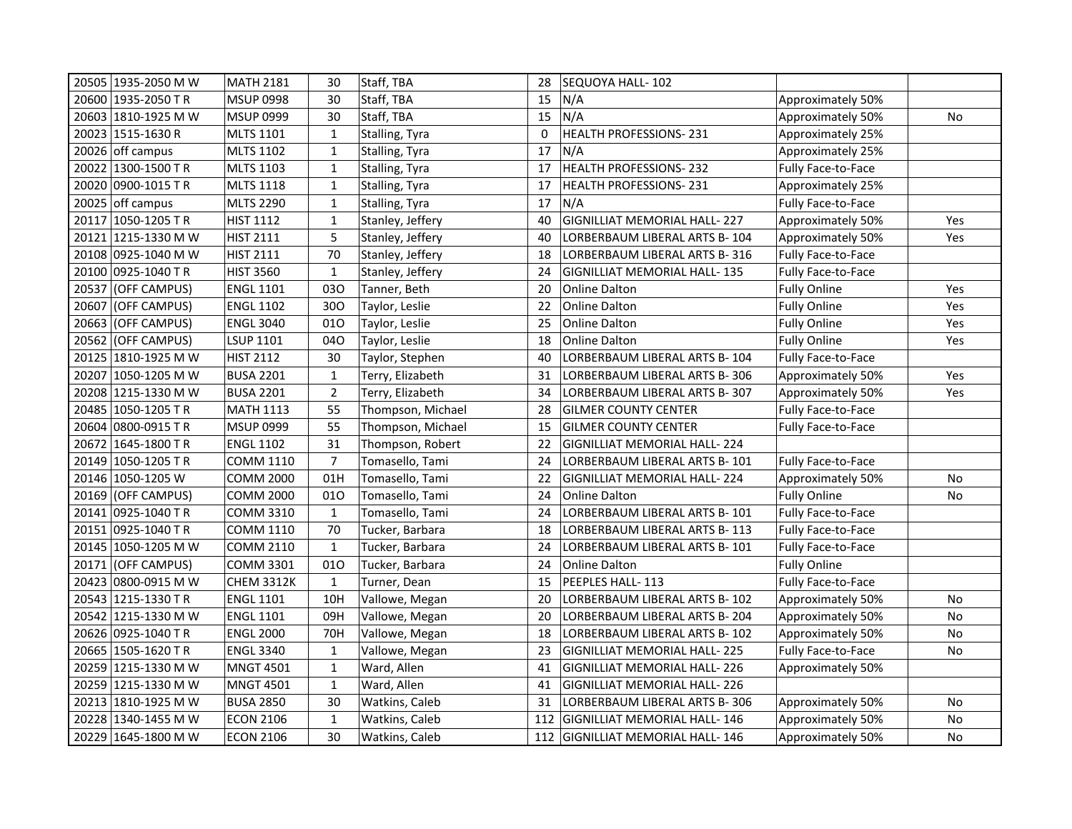| 20505 1935-2050 M W   | MATH 2181         | 30             | Staff, TBA        | 28  | SEQUOYA HALL-102                    |                           |           |
|-----------------------|-------------------|----------------|-------------------|-----|-------------------------------------|---------------------------|-----------|
| 20600   1935-2050 TR  | <b>MSUP 0998</b>  | 30             | Staff, TBA        | 15  | N/A                                 | Approximately 50%         |           |
| 20603 1810-1925 M W   | <b>MSUP 0999</b>  | 30             | Staff, TBA        | 15  | N/A                                 | Approximately 50%         | <b>No</b> |
| 20023 1515-1630 R     | <b>MLTS 1101</b>  | $\mathbf{1}$   | Stalling, Tyra    | 0   | <b>HEALTH PROFESSIONS-231</b>       | Approximately 25%         |           |
| 20026 off campus      | <b>MLTS 1102</b>  | $\mathbf{1}$   | Stalling, Tyra    | 17  | N/A                                 | Approximately 25%         |           |
| 20022 1300-1500 TR    | <b>MLTS 1103</b>  | $\mathbf{1}$   | Stalling, Tyra    | 17  | HEALTH PROFESSIONS-232              | Fully Face-to-Face        |           |
| 20020 0900-1015 TR    | <b>MLTS 1118</b>  | $\mathbf{1}$   | Stalling, Tyra    | 17  | <b>HEALTH PROFESSIONS-231</b>       | Approximately 25%         |           |
| 20025 off campus      | <b>MLTS 2290</b>  | $\mathbf{1}$   | Stalling, Tyra    | 17  | N/A                                 | <b>Fully Face-to-Face</b> |           |
| 20117 1050-1205 TR    | <b>HIST 1112</b>  | $\mathbf{1}$   | Stanley, Jeffery  | 40  | GIGNILLIAT MEMORIAL HALL-227        | Approximately 50%         | Yes       |
| 20121 1215-1330 M W   | <b>HIST 2111</b>  | 5              | Stanley, Jeffery  | 40  | LORBERBAUM LIBERAL ARTS B-104       | Approximately 50%         | Yes       |
| 20108 0925-1040 M W   | <b>HIST 2111</b>  | 70             | Stanley, Jeffery  | 18  | LORBERBAUM LIBERAL ARTS B-316       | <b>Fully Face-to-Face</b> |           |
| 20100 0925-1040 TR    | <b>HIST 3560</b>  | $\mathbf{1}$   | Stanley, Jeffery  | 24  | GIGNILLIAT MEMORIAL HALL- 135       | <b>Fully Face-to-Face</b> |           |
| 20537 (OFF CAMPUS)    | <b>ENGL 1101</b>  | 030            | Tanner, Beth      | 20  | Online Dalton                       | <b>Fully Online</b>       | Yes       |
| 20607 (OFF CAMPUS)    | <b>ENGL 1102</b>  | 300            | Taylor, Leslie    | 22  | <b>Online Dalton</b>                | <b>Fully Online</b>       | Yes       |
| 20663 (OFF CAMPUS)    | <b>ENGL 3040</b>  | 010            | Taylor, Leslie    | 25  | <b>Online Dalton</b>                | <b>Fully Online</b>       | Yes       |
| 20562 (OFF CAMPUS)    | LSUP 1101         | 040            | Taylor, Leslie    | 18  | <b>Online Dalton</b>                | <b>Fully Online</b>       | Yes       |
| 20125   1810-1925 M W | <b>HIST 2112</b>  | 30             | Taylor, Stephen   | 40  | LORBERBAUM LIBERAL ARTS B- 104      | <b>Fully Face-to-Face</b> |           |
| 20207 1050-1205 M W   | <b>BUSA 2201</b>  | $\mathbf{1}$   | Terry, Elizabeth  | 31  | LORBERBAUM LIBERAL ARTS B- 306      | Approximately 50%         | Yes       |
| 20208 1215-1330 M W   | <b>BUSA 2201</b>  | $\overline{2}$ | Terry, Elizabeth  | 34  | LORBERBAUM LIBERAL ARTS B-307       | Approximately 50%         | Yes       |
| 20485 1050-1205 TR    | <b>MATH 1113</b>  | 55             | Thompson, Michael | 28  | GILMER COUNTY CENTER                | Fully Face-to-Face        |           |
| 20604 0800-0915 TR    | <b>MSUP 0999</b>  | 55             | Thompson, Michael | 15  | GILMER COUNTY CENTER                | Fully Face-to-Face        |           |
| 20672 1645-1800 TR    | <b>ENGL 1102</b>  | 31             | Thompson, Robert  | 22  | GIGNILLIAT MEMORIAL HALL- 224       |                           |           |
| 20149 1050-1205 TR    | <b>COMM 1110</b>  | $\overline{7}$ | Tomasello, Tami   | 24  | LORBERBAUM LIBERAL ARTS B-101       | <b>Fully Face-to-Face</b> |           |
| 20146 1050-1205 W     | COMM 2000         | 01H            | Tomasello, Tami   | 22  | <b>GIGNILLIAT MEMORIAL HALL-224</b> | Approximately 50%         | No        |
| 20169 (OFF CAMPUS)    | COMM 2000         | 010            | Tomasello, Tami   | 24  | Online Dalton                       | <b>Fully Online</b>       | No        |
| 20141 0925-1040 TR    | COMM 3310         | $\mathbf{1}$   | Tomasello, Tami   | 24  | LORBERBAUM LIBERAL ARTS B- 101      | Fully Face-to-Face        |           |
| 20151 0925-1040 TR    | COMM 1110         | 70             | Tucker, Barbara   | 18  | LORBERBAUM LIBERAL ARTS B- 113      | <b>Fully Face-to-Face</b> |           |
| 20145 1050-1205 M W   | COMM 2110         | $\mathbf{1}$   | Tucker, Barbara   | 24  | LORBERBAUM LIBERAL ARTS B-101       | Fully Face-to-Face        |           |
| 20171 (OFF CAMPUS)    | <b>COMM 3301</b>  | 010            | Tucker, Barbara   | 24  | Online Dalton                       | <b>Fully Online</b>       |           |
| 20423 0800-0915 M W   | <b>CHEM 3312K</b> | $\mathbf{1}$   | Turner, Dean      | 15  | PEEPLES HALL- 113                   | Fully Face-to-Face        |           |
| 20543 1215-1330 TR    | <b>ENGL 1101</b>  | 10H            | Vallowe, Megan    | 20  | LORBERBAUM LIBERAL ARTS B- 102      | Approximately 50%         | No        |
| 20542 1215-1330 M W   | <b>ENGL 1101</b>  | 09H            | Vallowe, Megan    | 20  | LORBERBAUM LIBERAL ARTS B-204       | Approximately 50%         | No        |
| 20626 0925-1040 TR    | <b>ENGL 2000</b>  | 70H            | Vallowe, Megan    | 18  | LORBERBAUM LIBERAL ARTS B-102       | Approximately 50%         | No        |
| 20665 1505-1620 TR    | <b>ENGL 3340</b>  | $\mathbf{1}$   | Vallowe, Megan    | 23  | <b>GIGNILLIAT MEMORIAL HALL-225</b> | Fully Face-to-Face        | No        |
| 20259 1215-1330 M W   | <b>MNGT 4501</b>  | $\mathbf{1}$   | Ward, Allen       | 41  | <b>GIGNILLIAT MEMORIAL HALL-226</b> | Approximately 50%         |           |
| 20259  1215-1330 M W  | <b>MNGT 4501</b>  | $\mathbf{1}$   | Ward, Allen       | 41  | GIGNILLIAT MEMORIAL HALL- 226       |                           |           |
| 20213 1810-1925 M W   | <b>BUSA 2850</b>  | 30             | Watkins, Caleb    | 31  | LORBERBAUM LIBERAL ARTS B- 306      | Approximately 50%         | No        |
| 20228 1340-1455 M W   | <b>ECON 2106</b>  | $\mathbf{1}$   | Watkins, Caleb    | 112 | GIGNILLIAT MEMORIAL HALL- 146       | Approximately 50%         | No        |
| 20229 1645-1800 M W   | <b>ECON 2106</b>  | 30             | Watkins, Caleb    |     | 112 GIGNILLIAT MEMORIAL HALL-146    | Approximately 50%         | No        |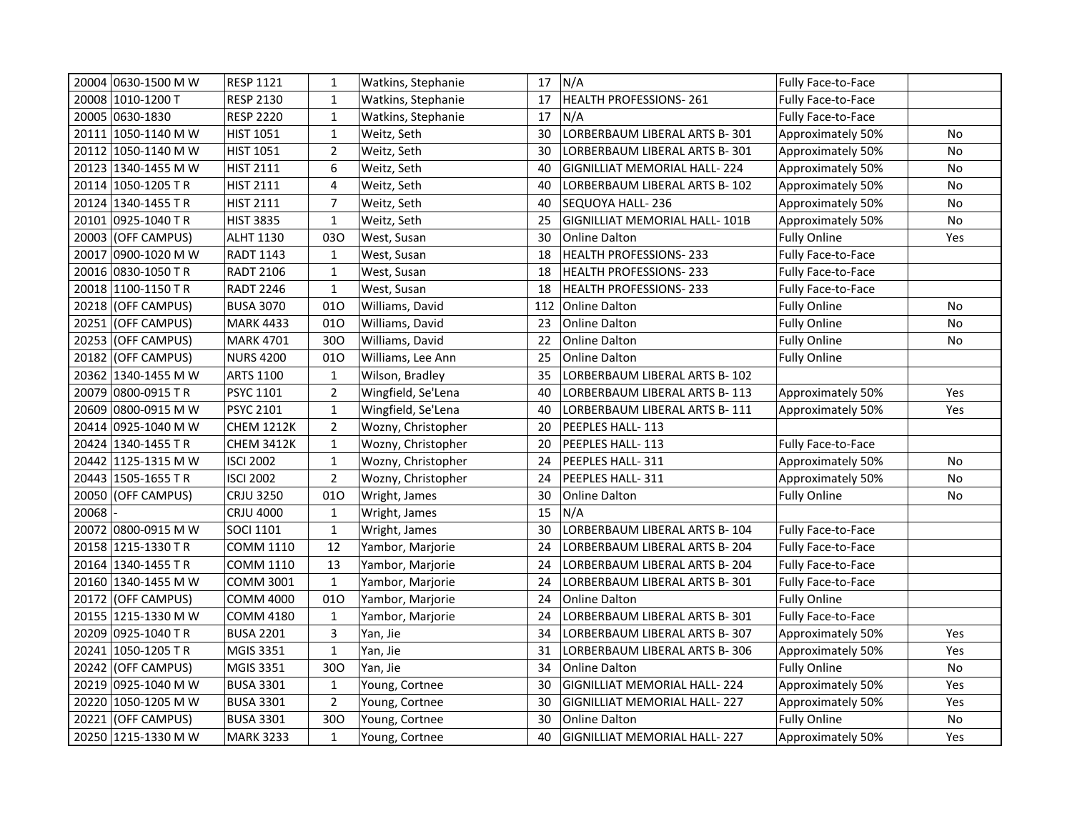| 20004 0630-1500 M W   | <b>RESP 1121</b>  | 1              | Watkins, Stephanie |     | 17 $N/A$                            | Fully Face-to-Face        |           |
|-----------------------|-------------------|----------------|--------------------|-----|-------------------------------------|---------------------------|-----------|
| 20008 1010-1200 T     | <b>RESP 2130</b>  | $\mathbf{1}$   | Watkins, Stephanie | 17  | HEALTH PROFESSIONS-261              | <b>Fully Face-to-Face</b> |           |
| 20005 0630-1830       | <b>RESP 2220</b>  | $\mathbf{1}$   | Watkins, Stephanie | 17  | N/A                                 | Fully Face-to-Face        |           |
| 20111 1050-1140 M W   | <b>HIST 1051</b>  | $\mathbf{1}$   | Weitz, Seth        | 30  | LORBERBAUM LIBERAL ARTS B-301       | Approximately 50%         | No        |
| 20112 1050-1140 M W   | <b>HIST 1051</b>  | $\overline{2}$ | Weitz, Seth        | 30  | LORBERBAUM LIBERAL ARTS B-301       | Approximately 50%         | No        |
| 20123 1340-1455 M W   | <b>HIST 2111</b>  | 6              | Weitz, Seth        | 40  | <b>GIGNILLIAT MEMORIAL HALL-224</b> | Approximately 50%         | No        |
| 20114 1050-1205 TR    | <b>HIST 2111</b>  | $\overline{4}$ | Weitz, Seth        | 40  | LORBERBAUM LIBERAL ARTS B- 102      | Approximately 50%         | No        |
| 20124 1340-1455 TR    | <b>HIST 2111</b>  | $\overline{7}$ | Weitz, Seth        | 40  | SEQUOYA HALL- 236                   | Approximately 50%         | No        |
| 20101 0925-1040 TR    | <b>HIST 3835</b>  | $\mathbf{1}$   | Weitz, Seth        | 25  | GIGNILLIAT MEMORIAL HALL-101B       | Approximately 50%         | No        |
| 20003 (OFF CAMPUS)    | ALHT 1130         | 030            | West, Susan        | 30  | Online Dalton                       | <b>Fully Online</b>       | Yes       |
| 20017 0900-1020 M W   | <b>RADT 1143</b>  | $\mathbf{1}$   | West, Susan        | 18  | HEALTH PROFESSIONS-233              | Fully Face-to-Face        |           |
| 20016 0830-1050 TR    | <b>RADT 2106</b>  | $\mathbf{1}$   | West, Susan        | 18  | HEALTH PROFESSIONS-233              | <b>Fully Face-to-Face</b> |           |
| 20018 1100-1150 TR    | <b>RADT 2246</b>  | $\mathbf{1}$   | West, Susan        | 18  | <b>HEALTH PROFESSIONS-233</b>       | Fully Face-to-Face        |           |
| 20218 (OFF CAMPUS)    | <b>BUSA 3070</b>  | 010            | Williams, David    | 112 | <b>Online Dalton</b>                | <b>Fully Online</b>       | No        |
| 20251 (OFF CAMPUS)    | <b>MARK 4433</b>  | 010            | Williams, David    | 23  | <b>Online Dalton</b>                | <b>Fully Online</b>       | No        |
| 20253 (OFF CAMPUS)    | <b>MARK 4701</b>  | 300            | Williams, David    | 22  | Online Dalton                       | <b>Fully Online</b>       | No        |
| 20182<br>(OFF CAMPUS) | <b>NURS 4200</b>  | 010            | Williams, Lee Ann  | 25  | <b>Online Dalton</b>                | <b>Fully Online</b>       |           |
| 20362 1340-1455 M W   | <b>ARTS 1100</b>  | $\mathbf{1}$   | Wilson, Bradley    | 35  | LORBERBAUM LIBERAL ARTS B-102       |                           |           |
| 20079 0800-0915 TR    | <b>PSYC 1101</b>  | $\overline{2}$ | Wingfield, Se'Lena | 40  | LORBERBAUM LIBERAL ARTS B-113       | Approximately 50%         | Yes       |
| 20609 0800-0915 M W   | PSYC 2101         | $\mathbf{1}$   | Wingfield, Se'Lena | 40  | LORBERBAUM LIBERAL ARTS B-111       | Approximately 50%         | Yes       |
| 20414 0925-1040 M W   | <b>CHEM 1212K</b> | $\overline{2}$ | Wozny, Christopher | 20  | PEEPLES HALL- 113                   |                           |           |
| 20424 1340-1455 TR    | <b>CHEM 3412K</b> | $\mathbf{1}$   | Wozny, Christopher | 20  | PEEPLES HALL-113                    | Fully Face-to-Face        |           |
| 20442 1125-1315 M W   | <b>ISCI 2002</b>  | $\mathbf 1$    | Wozny, Christopher | 24  | PEEPLES HALL-311                    | Approximately 50%         | No        |
| 20443 1505-1655 TR    | <b>ISCI 2002</b>  | $\overline{2}$ | Wozny, Christopher | 24  | PEEPLES HALL-311                    | Approximately 50%         | No        |
| 20050 (OFF CAMPUS)    | <b>CRJU 3250</b>  | 010            | Wright, James      | 30  | Online Dalton                       | <b>Fully Online</b>       | No        |
| 20068                 | <b>CRJU 4000</b>  | $\mathbf{1}$   | Wright, James      | 15  | IN/A                                |                           |           |
| 20072 0800-0915 M W   | <b>SOCI 1101</b>  | $\mathbf{1}$   | Wright, James      | 30  | LORBERBAUM LIBERAL ARTS B-104       | <b>Fully Face-to-Face</b> |           |
| 20158 1215-1330 TR    | COMM 1110         | 12             | Yambor, Marjorie   | 24  | LORBERBAUM LIBERAL ARTS B-204       | Fully Face-to-Face        |           |
| 20164   1340-1455 TR  | <b>COMM 1110</b>  | 13             | Yambor, Marjorie   | 24  | LORBERBAUM LIBERAL ARTS B-204       | Fully Face-to-Face        |           |
| 20160 1340-1455 M W   | <b>COMM 3001</b>  | $\mathbf{1}$   | Yambor, Marjorie   | 24  | LORBERBAUM LIBERAL ARTS B-301       | Fully Face-to-Face        |           |
| 20172 (OFF CAMPUS)    | <b>COMM 4000</b>  | 010            | Yambor, Marjorie   | 24  | Online Dalton                       | <b>Fully Online</b>       |           |
| 20155 1215-1330 M W   | <b>COMM 4180</b>  | $\mathbf 1$    | Yambor, Marjorie   | 24  | LORBERBAUM LIBERAL ARTS B-301       | <b>Fully Face-to-Face</b> |           |
| 20209 0925-1040 TR    | <b>BUSA 2201</b>  | $\mathsf{3}$   | Yan, Jie           | 34  | LORBERBAUM LIBERAL ARTS B-307       | Approximately 50%         | Yes       |
| 20241 1050-1205 TR    | <b>MGIS 3351</b>  | $\mathbf{1}$   | Yan, Jie           | 31  | LORBERBAUM LIBERAL ARTS B- 306      | Approximately 50%         | Yes       |
| 20242 (OFF CAMPUS)    | <b>MGIS 3351</b>  | 300            | Yan, Jie           | 34  | <b>Online Dalton</b>                | <b>Fully Online</b>       | <b>No</b> |
| 20219  0925-1040 M W  | <b>BUSA 3301</b>  | $\mathbf{1}$   | Young, Cortnee     | 30  | <b>GIGNILLIAT MEMORIAL HALL-224</b> | Approximately 50%         | Yes       |
| 20220 1050-1205 M W   | <b>BUSA 3301</b>  | $\overline{2}$ | Young, Cortnee     | 30  | <b>GIGNILLIAT MEMORIAL HALL-227</b> | Approximately 50%         | Yes       |
| 20221 (OFF CAMPUS)    | <b>BUSA 3301</b>  | 300            | Young, Cortnee     | 30  | Online Dalton                       | <b>Fully Online</b>       | No        |
| 20250 1215-1330 M W   | <b>MARK 3233</b>  | $\mathbf{1}$   | Young, Cortnee     | 40  | <b>GIGNILLIAT MEMORIAL HALL-227</b> | Approximately 50%         | Yes       |